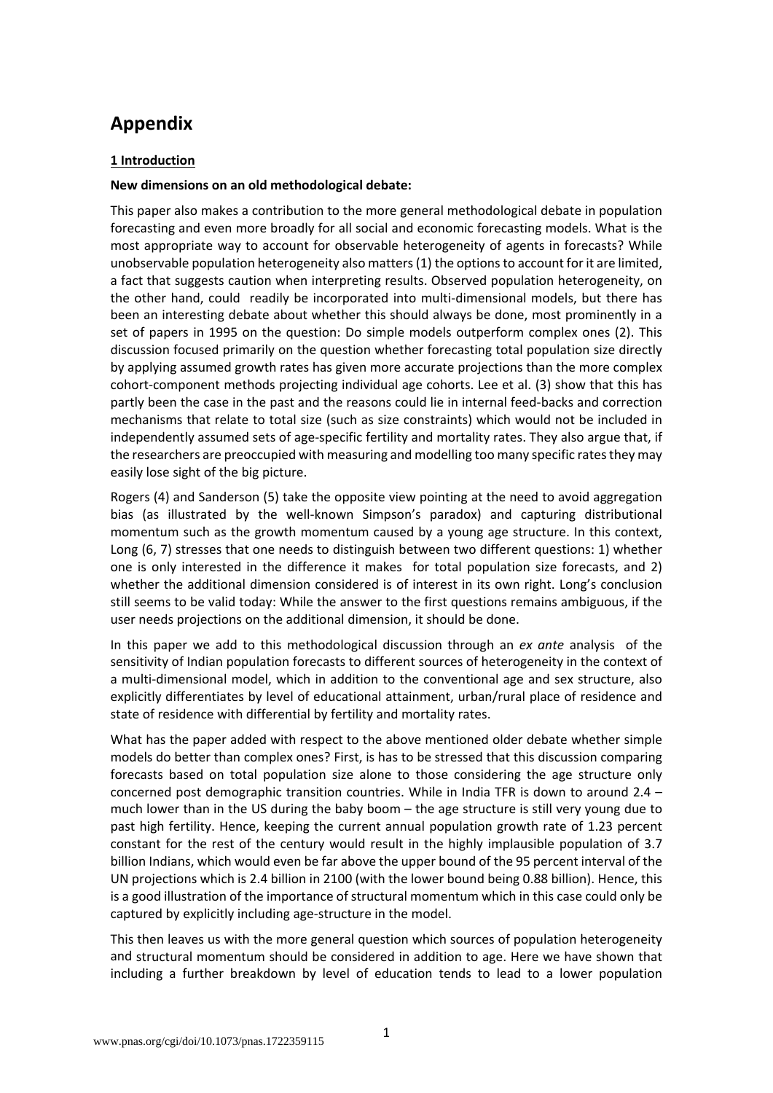# **Appendix**

## **1 Introduction**

#### **New dimensions on an old methodological debate:**

This paper also makes a contribution to the more general methodological debate in population forecasting and even more broadly for all social and economic forecasting models. What is the most appropriate way to account for observable heterogeneity of agents in forecasts? While unobservable population heterogeneity also matters(1) the optionsto account for it are limited, a fact that suggests caution when interpreting results. Observed population heterogeneity, on the other hand, could readily be incorporated into multi‐dimensional models, but there has been an interesting debate about whether this should always be done, most prominently in a set of papers in 1995 on the question: Do simple models outperform complex ones (2). This discussion focused primarily on the question whether forecasting total population size directly by applying assumed growth rates has given more accurate projections than the more complex cohort-component methods projecting individual age cohorts. Lee et al. (3) show that this has partly been the case in the past and the reasons could lie in internal feed‐backs and correction mechanisms that relate to total size (such as size constraints) which would not be included in independently assumed sets of age‐specific fertility and mortality rates. They also argue that, if the researchers are preoccupied with measuring and modelling too many specific ratesthey may easily lose sight of the big picture.

Rogers (4) and Sanderson (5) take the opposite view pointing at the need to avoid aggregation bias (as illustrated by the well‐known Simpson's paradox) and capturing distributional momentum such as the growth momentum caused by a young age structure. In this context, Long (6, 7) stresses that one needs to distinguish between two different questions: 1) whether one is only interested in the difference it makes for total population size forecasts, and 2) whether the additional dimension considered is of interest in its own right. Long's conclusion still seems to be valid today: While the answer to the first questions remains ambiguous, if the user needs projections on the additional dimension, it should be done.

In this paper we add to this methodological discussion through an *ex ante* analysis of the sensitivity of Indian population forecasts to different sources of heterogeneity in the context of a multi-dimensional model, which in addition to the conventional age and sex structure, also explicitly differentiates by level of educational attainment, urban/rural place of residence and state of residence with differential by fertility and mortality rates.

What has the paper added with respect to the above mentioned older debate whether simple models do better than complex ones? First, is has to be stressed that this discussion comparing forecasts based on total population size alone to those considering the age structure only concerned post demographic transition countries. While in India TFR is down to around 2.4 – much lower than in the US during the baby boom – the age structure is still very young due to past high fertility. Hence, keeping the current annual population growth rate of 1.23 percent constant for the rest of the century would result in the highly implausible population of 3.7 billion Indians, which would even be far above the upper bound of the 95 percent interval of the UN projections which is 2.4 billion in 2100 (with the lower bound being 0.88 billion). Hence, this is a good illustration of the importance of structural momentum which in this case could only be captured by explicitly including age‐structure in the model.

This then leaves us with the more general question which sources of population heterogeneity and structural momentum should be considered in addition to age. Here we have shown that including a further breakdown by level of education tends to lead to a lower population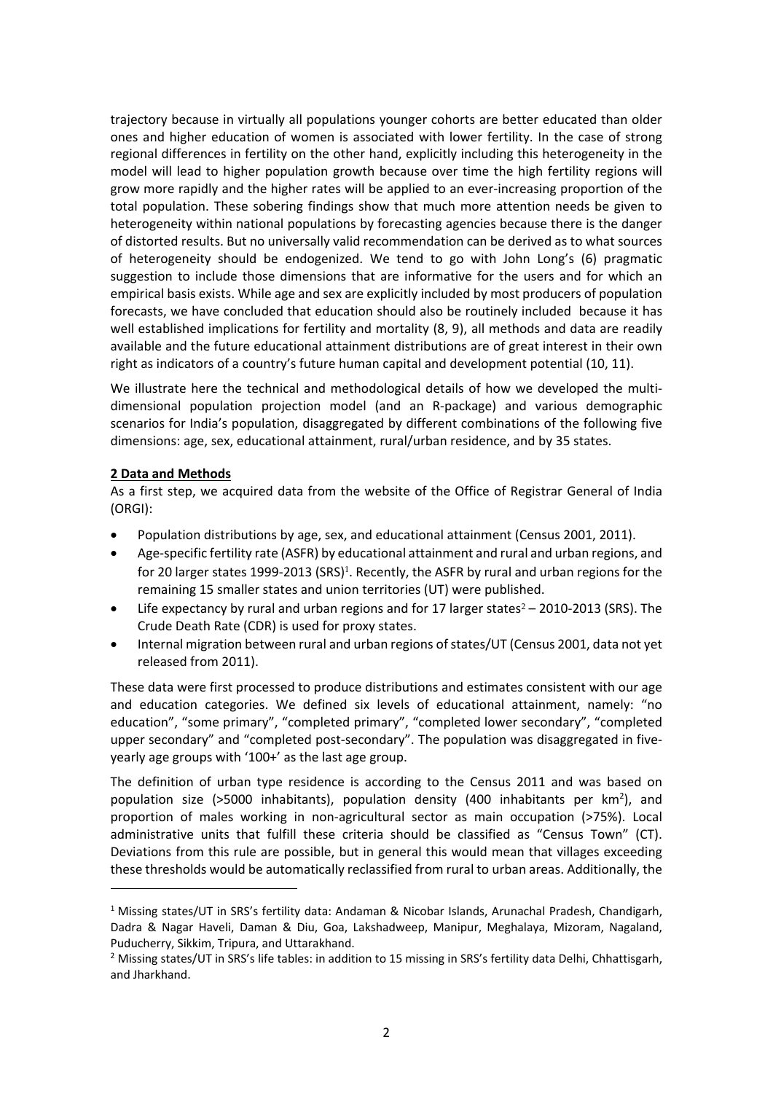trajectory because in virtually all populations younger cohorts are better educated than older ones and higher education of women is associated with lower fertility. In the case of strong regional differences in fertility on the other hand, explicitly including this heterogeneity in the model will lead to higher population growth because over time the high fertility regions will grow more rapidly and the higher rates will be applied to an ever-increasing proportion of the total population. These sobering findings show that much more attention needs be given to heterogeneity within national populations by forecasting agencies because there is the danger of distorted results. But no universally valid recommendation can be derived as to what sources of heterogeneity should be endogenized. We tend to go with John Long's (6) pragmatic suggestion to include those dimensions that are informative for the users and for which an empirical basis exists. While age and sex are explicitly included by most producers of population forecasts, we have concluded that education should also be routinely included because it has well established implications for fertility and mortality (8, 9), all methods and data are readily available and the future educational attainment distributions are of great interest in their own right as indicators of a country's future human capital and development potential (10, 11).

We illustrate here the technical and methodological details of how we developed the multidimensional population projection model (and an R‐package) and various demographic scenarios for India's population, disaggregated by different combinations of the following five dimensions: age, sex, educational attainment, rural/urban residence, and by 35 states.

## **2 Data and Methods**

As a first step, we acquired data from the website of the Office of Registrar General of India (ORGI):

- Population distributions by age, sex, and educational attainment (Census 2001, 2011).
- Age‐specific fertility rate (ASFR) by educational attainment and rural and urban regions, and for 20 larger states 1999-2013 (SRS)<sup>1</sup>. Recently, the ASFR by rural and urban regions for the remaining 15 smaller states and union territories (UT) were published.
- Life expectancy by rural and urban regions and for 17 larger states $2 2010 2013$  (SRS). The Crude Death Rate (CDR) is used for proxy states.
- Internal migration between rural and urban regions of states/UT (Census 2001, data not yet released from 2011).

These data were first processed to produce distributions and estimates consistent with our age and education categories. We defined six levels of educational attainment, namely: "no education", "some primary", "completed primary", "completed lower secondary", "completed upper secondary" and "completed post-secondary". The population was disaggregated in fiveyearly age groups with '100+' as the last age group.

The definition of urban type residence is according to the Census 2011 and was based on population size (>5000 inhabitants), population density (400 inhabitants per km<sup>2</sup>), and proportion of males working in non‐agricultural sector as main occupation (>75%). Local administrative units that fulfill these criteria should be classified as "Census Town" (CT). Deviations from this rule are possible, but in general this would mean that villages exceeding these thresholds would be automatically reclassified from rural to urban areas. Additionally, the

<sup>&</sup>lt;sup>1</sup> Missing states/UT in SRS's fertility data: Andaman & Nicobar Islands, Arunachal Pradesh, Chandigarh, Dadra & Nagar Haveli, Daman & Diu, Goa, Lakshadweep, Manipur, Meghalaya, Mizoram, Nagaland, Puducherry, Sikkim, Tripura, and Uttarakhand.

<sup>&</sup>lt;sup>2</sup> Missing states/UT in SRS's life tables: in addition to 15 missing in SRS's fertility data Delhi, Chhattisgarh, and Jharkhand.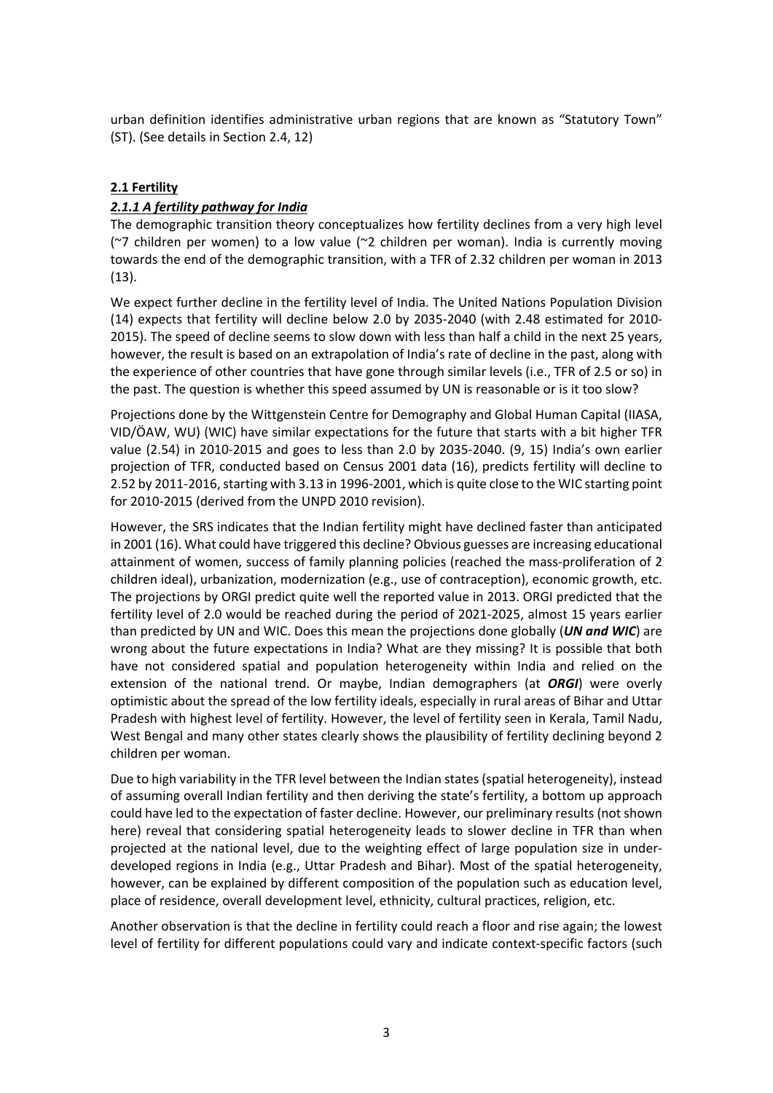urban definition identifies administrative urban regions that are known as "Statutory Town" (ST). (See details in Section 2.4, 12)

## **2.1 Fertility**

## *2.1.1 A fertility pathway for India*

The demographic transition theory conceptualizes how fertility declines from a very high level ( $2$  children per women) to a low value ( $2$  children per woman). India is currently moving towards the end of the demographic transition, with a TFR of 2.32 children per woman in 2013 (13).

We expect further decline in the fertility level of India. The United Nations Population Division (14) expects that fertility will decline below 2.0 by 2035‐2040 (with 2.48 estimated for 2010‐ 2015). The speed of decline seems to slow down with less than half a child in the next 25 years, however, the result is based on an extrapolation of India's rate of decline in the past, along with the experience of other countries that have gone through similar levels (i.e., TFR of 2.5 or so) in the past. The question is whether this speed assumed by UN is reasonable or is it too slow?

Projections done by the Wittgenstein Centre for Demography and Global Human Capital (IIASA, VID/ÖAW, WU) (WIC) have similar expectations for the future that starts with a bit higher TFR value (2.54) in 2010‐2015 and goes to less than 2.0 by 2035‐2040. (9, 15) India's own earlier projection of TFR, conducted based on Census 2001 data (16), predicts fertility will decline to 2.52 by 2011-2016, starting with 3.13 in 1996-2001, which is quite close to the WIC starting point for 2010‐2015 (derived from the UNPD 2010 revision).

However, the SRS indicates that the Indian fertility might have declined faster than anticipated in 2001 (16). What could have triggered this decline? Obvious guesses are increasing educational attainment of women, success of family planning policies (reached the mass-proliferation of 2 children ideal), urbanization, modernization (e.g., use of contraception), economic growth, etc. The projections by ORGI predict quite well the reported value in 2013. ORGI predicted that the fertility level of 2.0 would be reached during the period of 2021-2025, almost 15 years earlier than predicted by UN and WIC. Does this mean the projections done globally (*UN and WIC*) are wrong about the future expectations in India? What are they missing? It is possible that both have not considered spatial and population heterogeneity within India and relied on the extension of the national trend. Or maybe, Indian demographers (at *ORGI*) were overly optimistic about the spread of the low fertility ideals, especially in rural areas of Bihar and Uttar Pradesh with highest level of fertility. However, the level of fertility seen in Kerala, Tamil Nadu, West Bengal and many other states clearly shows the plausibility of fertility declining beyond 2 children per woman.

Due to high variability in the TFR level between the Indian states (spatial heterogeneity), instead of assuming overall Indian fertility and then deriving the state's fertility, a bottom up approach could have led to the expectation of faster decline. However, our preliminary results (not shown here) reveal that considering spatial heterogeneity leads to slower decline in TFR than when projected at the national level, due to the weighting effect of large population size in under‐ developed regions in India (e.g., Uttar Pradesh and Bihar). Most of the spatial heterogeneity, however, can be explained by different composition of the population such as education level, place of residence, overall development level, ethnicity, cultural practices, religion, etc.

Another observation is that the decline in fertility could reach a floor and rise again; the lowest level of fertility for different populations could vary and indicate context-specific factors (such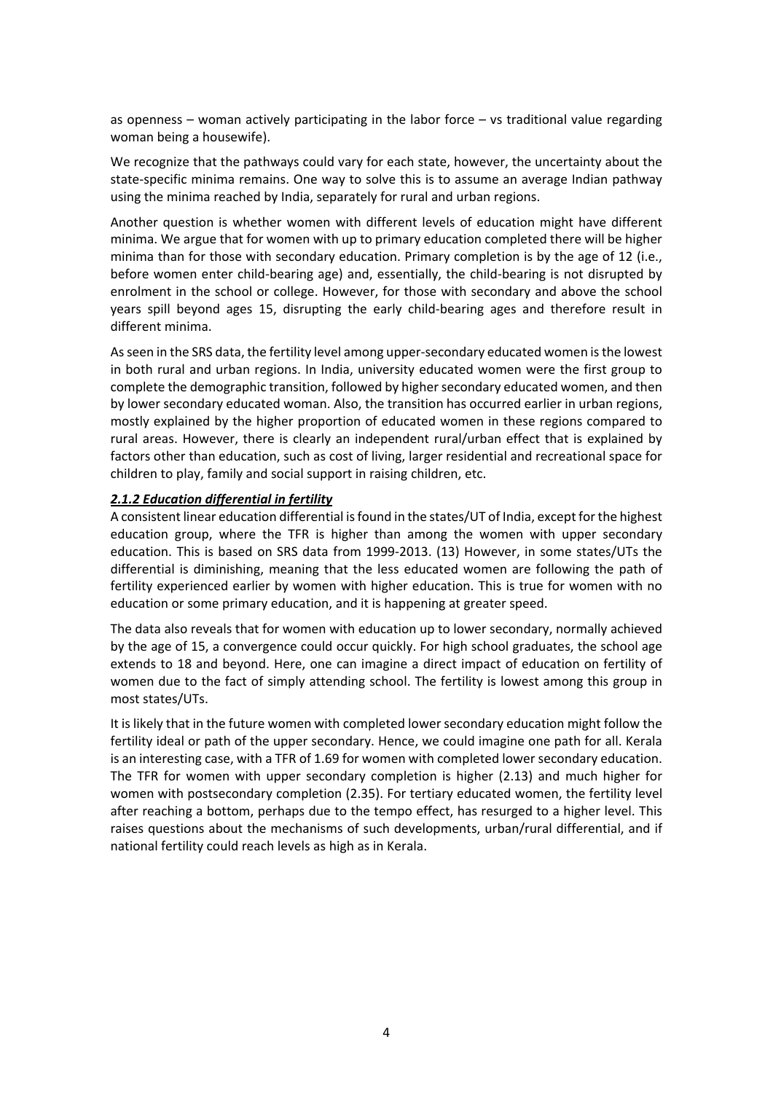as openness – woman actively participating in the labor force  $-$  vs traditional value regarding woman being a housewife).

We recognize that the pathways could vary for each state, however, the uncertainty about the state-specific minima remains. One way to solve this is to assume an average Indian pathway using the minima reached by India, separately for rural and urban regions.

Another question is whether women with different levels of education might have different minima. We argue that for women with up to primary education completed there will be higher minima than for those with secondary education. Primary completion is by the age of 12 (i.e., before women enter child‐bearing age) and, essentially, the child‐bearing is not disrupted by enrolment in the school or college. However, for those with secondary and above the school years spill beyond ages 15, disrupting the early child‐bearing ages and therefore result in different minima.

As seen in the SRS data, the fertility level among upper-secondary educated women is the lowest in both rural and urban regions. In India, university educated women were the first group to complete the demographic transition, followed by higher secondary educated women, and then by lower secondary educated woman. Also, the transition has occurred earlier in urban regions, mostly explained by the higher proportion of educated women in these regions compared to rural areas. However, there is clearly an independent rural/urban effect that is explained by factors other than education, such as cost of living, larger residential and recreational space for children to play, family and social support in raising children, etc.

#### *2.1.2 Education differential in fertility*

A consistent linear education differential isfound in the states/UT of India, exceptfor the highest education group, where the TFR is higher than among the women with upper secondary education. This is based on SRS data from 1999‐2013. (13) However, in some states/UTs the differential is diminishing, meaning that the less educated women are following the path of fertility experienced earlier by women with higher education. This is true for women with no education or some primary education, and it is happening at greater speed.

The data also reveals that for women with education up to lower secondary, normally achieved by the age of 15, a convergence could occur quickly. For high school graduates, the school age extends to 18 and beyond. Here, one can imagine a direct impact of education on fertility of women due to the fact of simply attending school. The fertility is lowest among this group in most states/UTs.

It is likely that in the future women with completed lower secondary education might follow the fertility ideal or path of the upper secondary. Hence, we could imagine one path for all. Kerala is an interesting case, with a TFR of 1.69 for women with completed lower secondary education. The TFR for women with upper secondary completion is higher (2.13) and much higher for women with postsecondary completion (2.35). For tertiary educated women, the fertility level after reaching a bottom, perhaps due to the tempo effect, has resurged to a higher level. This raises questions about the mechanisms of such developments, urban/rural differential, and if national fertility could reach levels as high as in Kerala.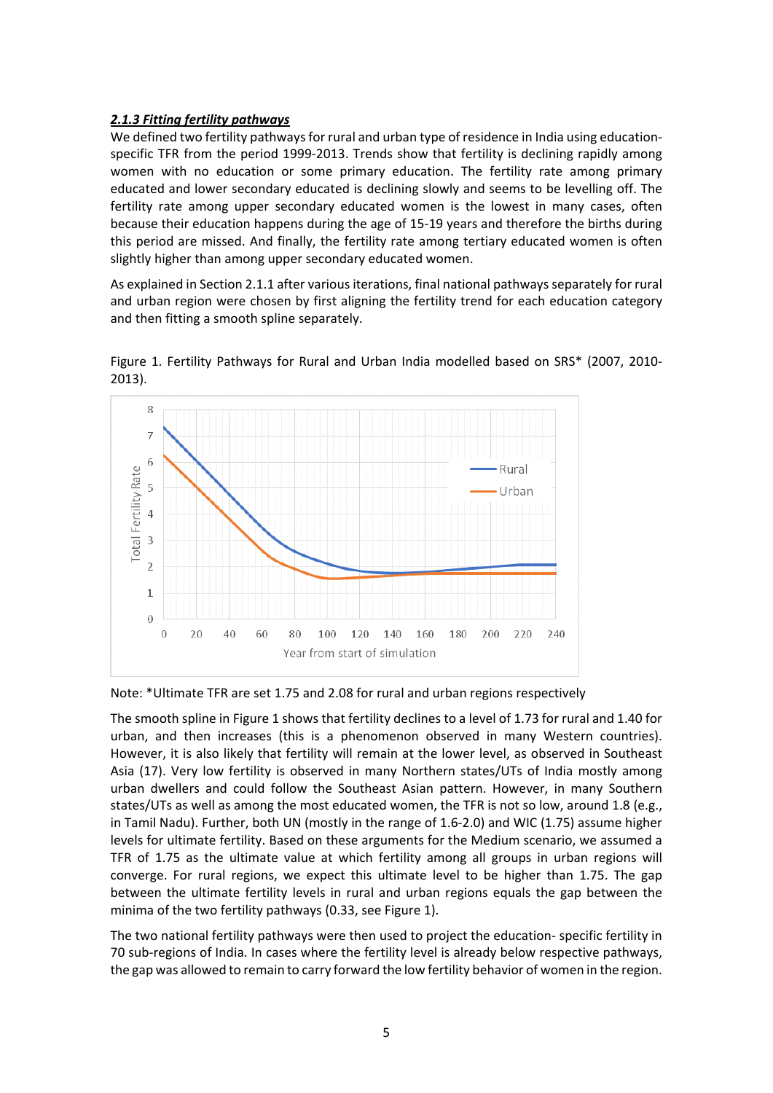## *2.1.3 Fitting fertility pathways*

We defined two fertility pathways for rural and urban type of residence in India using educationspecific TFR from the period 1999-2013. Trends show that fertility is declining rapidly among women with no education or some primary education. The fertility rate among primary educated and lower secondary educated is declining slowly and seems to be levelling off. The fertility rate among upper secondary educated women is the lowest in many cases, often because their education happens during the age of 15‐19 years and therefore the births during this period are missed. And finally, the fertility rate among tertiary educated women is often slightly higher than among upper secondary educated women.

As explained in Section 2.1.1 after various iterations, final national pathways separately for rural and urban region were chosen by first aligning the fertility trend for each education category and then fitting a smooth spline separately.



Figure 1. Fertility Pathways for Rural and Urban India modelled based on SRS\* (2007, 2010‐ 2013).

Note: \*Ultimate TFR are set 1.75 and 2.08 for rural and urban regions respectively

The smooth spline in Figure 1 shows that fertility declines to a level of 1.73 for rural and 1.40 for urban, and then increases (this is a phenomenon observed in many Western countries). However, it is also likely that fertility will remain at the lower level, as observed in Southeast Asia (17). Very low fertility is observed in many Northern states/UTs of India mostly among urban dwellers and could follow the Southeast Asian pattern. However, in many Southern states/UTs as well as among the most educated women, the TFR is not so low, around 1.8 (e.g., in Tamil Nadu). Further, both UN (mostly in the range of 1.6‐2.0) and WIC (1.75) assume higher levels for ultimate fertility. Based on these arguments for the Medium scenario, we assumed a TFR of 1.75 as the ultimate value at which fertility among all groups in urban regions will converge. For rural regions, we expect this ultimate level to be higher than 1.75. The gap between the ultimate fertility levels in rural and urban regions equals the gap between the minima of the two fertility pathways (0.33, see Figure 1).

The two national fertility pathways were then used to project the education‐ specific fertility in 70 sub‐regions of India. In cases where the fertility level is already below respective pathways, the gap was allowed to remain to carry forward the low fertility behavior of women in the region.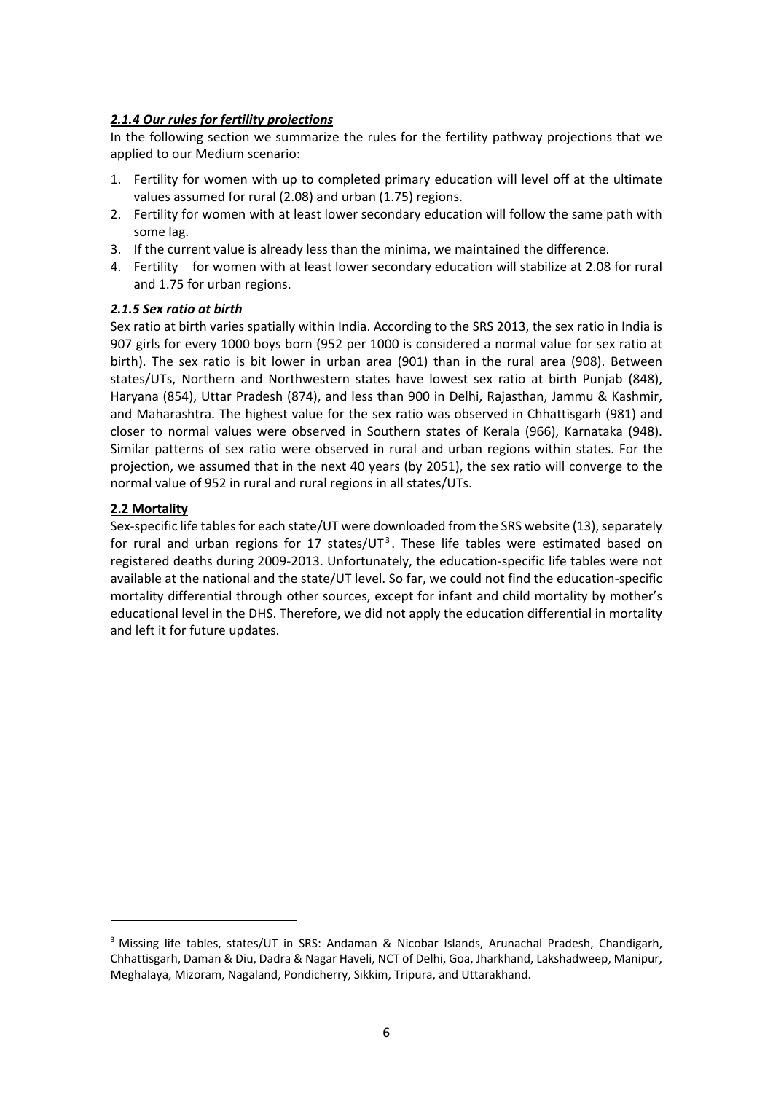## *2.1.4 Our rules for fertility projections*

In the following section we summarize the rules for the fertility pathway projections that we applied to our Medium scenario:

- 1. Fertility for women with up to completed primary education will level off at the ultimate values assumed for rural (2.08) and urban (1.75) regions.
- 2. Fertility for women with at least lower secondary education will follow the same path with some lag.
- 3. If the current value is already less than the minima, we maintained the difference.
- 4. Fertility for women with at least lower secondary education will stabilize at 2.08 for rural and 1.75 for urban regions.

#### *2.1.5 Sex ratio at birth*

Sex ratio at birth varies spatially within India. According to the SRS 2013, the sex ratio in India is 907 girls for every 1000 boys born (952 per 1000 is considered a normal value for sex ratio at birth). The sex ratio is bit lower in urban area (901) than in the rural area (908). Between states/UTs, Northern and Northwestern states have lowest sex ratio at birth Punjab (848), Haryana (854), Uttar Pradesh (874), and less than 900 in Delhi, Rajasthan, Jammu & Kashmir, and Maharashtra. The highest value for the sex ratio was observed in Chhattisgarh (981) and closer to normal values were observed in Southern states of Kerala (966), Karnataka (948). Similar patterns of sex ratio were observed in rural and urban regions within states. For the projection, we assumed that in the next 40 years (by 2051), the sex ratio will converge to the normal value of 952 in rural and rural regions in all states/UTs.

## **2.2 Mortality**

Sex-specific life tables for each state/UT were downloaded from the SRS website (13), separately for rural and urban regions for 17 states/UT<sup>3</sup>. These life tables were estimated based on registered deaths during 2009‐2013. Unfortunately, the education‐specific life tables were not available at the national and the state/UT level. So far, we could not find the education‐specific mortality differential through other sources, except for infant and child mortality by mother's educational level in the DHS. Therefore, we did not apply the education differential in mortality and left it for future updates.

<sup>3</sup> Missing life tables, states/UT in SRS: Andaman & Nicobar Islands, Arunachal Pradesh, Chandigarh, Chhattisgarh, Daman & Diu, Dadra & Nagar Haveli, NCT of Delhi, Goa, Jharkhand, Lakshadweep, Manipur, Meghalaya, Mizoram, Nagaland, Pondicherry, Sikkim, Tripura, and Uttarakhand.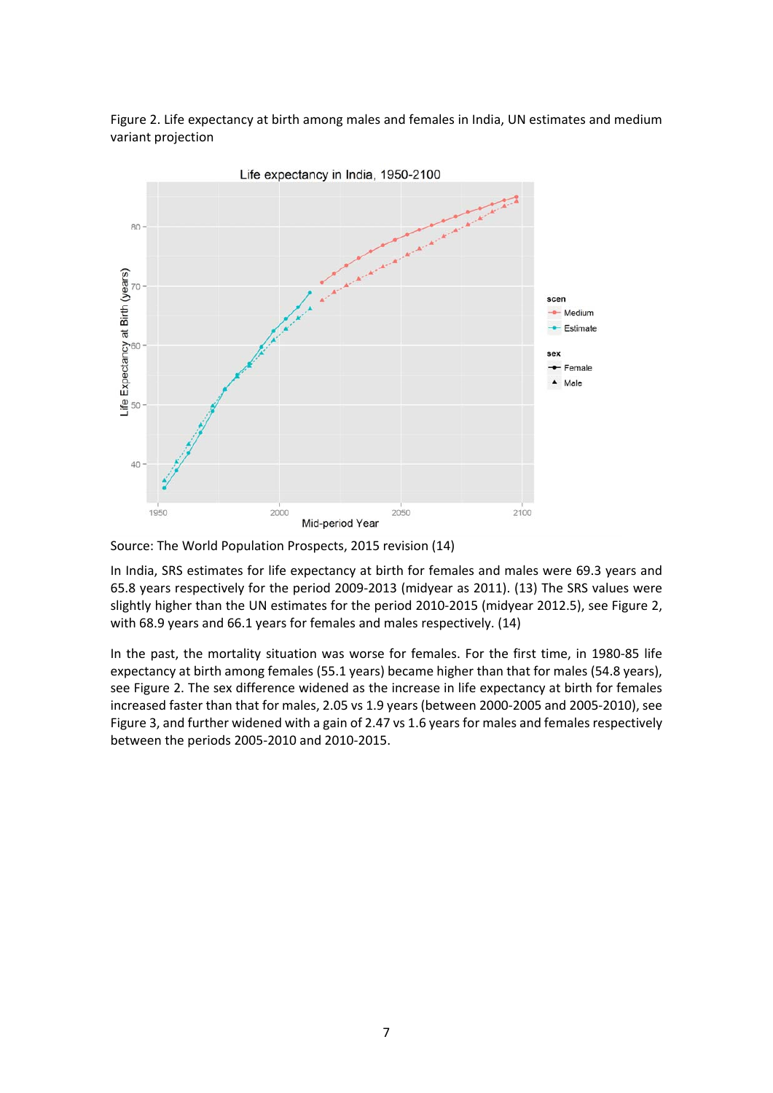Figure 2. Life expectancy at birth among males and females in India, UN estimates and medium variant projection



Source: The World Population Prospects, 2015 revision (14)

In India, SRS estimates for life expectancy at birth for females and males were 69.3 years and 65.8 years respectively for the period 2009‐2013 (midyear as 2011). (13) The SRS values were slightly higher than the UN estimates for the period 2010‐2015 (midyear 2012.5), see Figure 2, with 68.9 years and 66.1 years for females and males respectively. (14)

In the past, the mortality situation was worse for females. For the first time, in 1980‐85 life expectancy at birth among females (55.1 years) became higher than that for males (54.8 years), see Figure 2. The sex difference widened as the increase in life expectancy at birth for females increased faster than that for males, 2.05 vs 1.9 years (between 2000‐2005 and 2005‐2010), see Figure 3, and further widened with a gain of 2.47 vs 1.6 years for males and females respectively between the periods 2005‐2010 and 2010‐2015.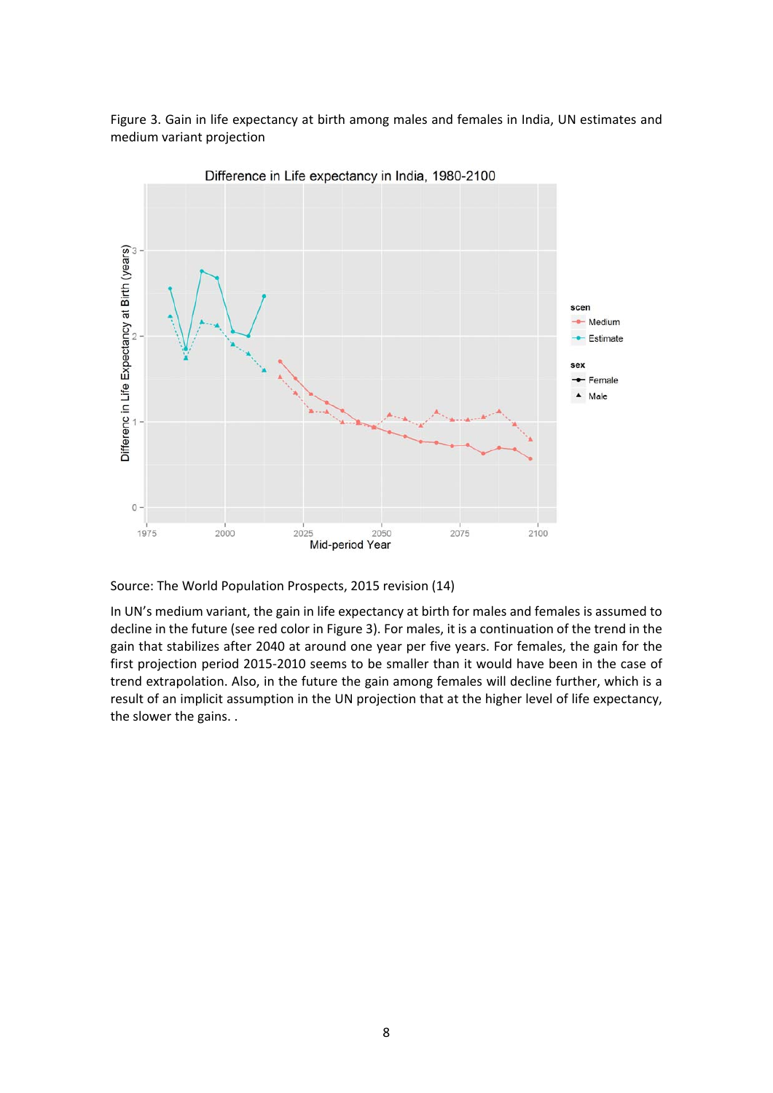



Difference in Life expectancy in India, 1980-2100

Source: The World Population Prospects, 2015 revision (14)

In UN's medium variant, the gain in life expectancy at birth for males and females is assumed to decline in the future (see red color in Figure 3). For males, it is a continuation of the trend in the gain that stabilizes after 2040 at around one year per five years. For females, the gain for the first projection period 2015‐2010 seems to be smaller than it would have been in the case of trend extrapolation. Also, in the future the gain among females will decline further, which is a result of an implicit assumption in the UN projection that at the higher level of life expectancy, the slower the gains. .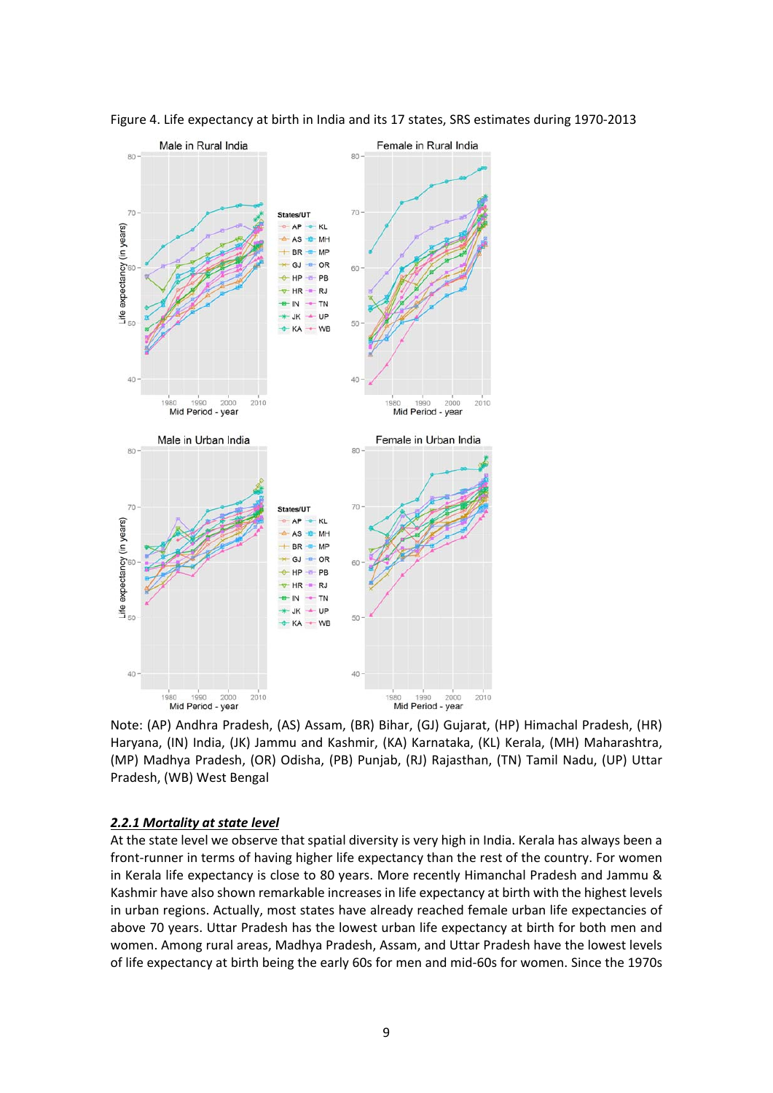

Figure 4. Life expectancy at birth in India and its 17 states, SRS estimates during 1970‐2013

Note: (AP) Andhra Pradesh, (AS) Assam, (BR) Bihar, (GJ) Gujarat, (HP) Himachal Pradesh, (HR) Haryana, (IN) India, (JK) Jammu and Kashmir, (KA) Karnataka, (KL) Kerala, (MH) Maharashtra, (MP) Madhya Pradesh, (OR) Odisha, (PB) Punjab, (RJ) Rajasthan, (TN) Tamil Nadu, (UP) Uttar Pradesh, (WB) West Bengal

#### *2.2.1 Mortality at state level*

At the state level we observe that spatial diversity is very high in India. Kerala has always been a front-runner in terms of having higher life expectancy than the rest of the country. For women in Kerala life expectancy is close to 80 years. More recently Himanchal Pradesh and Jammu & Kashmir have also shown remarkable increases in life expectancy at birth with the highest levels in urban regions. Actually, most states have already reached female urban life expectancies of above 70 years. Uttar Pradesh has the lowest urban life expectancy at birth for both men and women. Among rural areas, Madhya Pradesh, Assam, and Uttar Pradesh have the lowest levels of life expectancy at birth being the early 60s for men and mid‐60s for women. Since the 1970s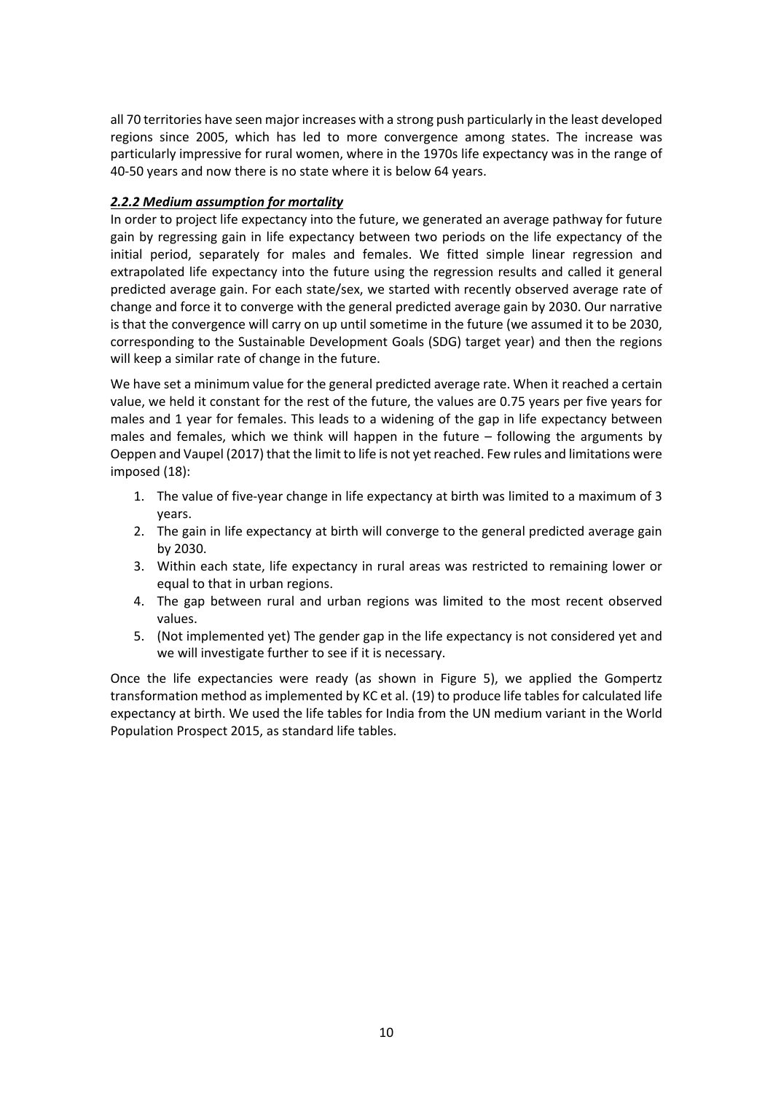all 70 territories have seen major increases with a strong push particularly in the least developed regions since 2005, which has led to more convergence among states. The increase was particularly impressive for rural women, where in the 1970s life expectancy was in the range of 40‐50 years and now there is no state where it is below 64 years.

## *2.2.2 Medium assumption for mortality*

In order to project life expectancy into the future, we generated an average pathway for future gain by regressing gain in life expectancy between two periods on the life expectancy of the initial period, separately for males and females. We fitted simple linear regression and extrapolated life expectancy into the future using the regression results and called it general predicted average gain. For each state/sex, we started with recently observed average rate of change and force it to converge with the general predicted average gain by 2030. Our narrative is that the convergence will carry on up until sometime in the future (we assumed it to be 2030, corresponding to the Sustainable Development Goals (SDG) target year) and then the regions will keep a similar rate of change in the future.

We have set a minimum value for the general predicted average rate. When it reached a certain value, we held it constant for the rest of the future, the values are 0.75 years per five years for males and 1 year for females. This leads to a widening of the gap in life expectancy between males and females, which we think will happen in the future – following the arguments by Oeppen and Vaupel (2017) that the limit to life is not yet reached. Few rules and limitations were imposed (18):

- 1. The value of five-year change in life expectancy at birth was limited to a maximum of 3 years.
- 2. The gain in life expectancy at birth will converge to the general predicted average gain by 2030.
- 3. Within each state, life expectancy in rural areas was restricted to remaining lower or equal to that in urban regions.
- 4. The gap between rural and urban regions was limited to the most recent observed values.
- 5. (Not implemented yet) The gender gap in the life expectancy is not considered yet and we will investigate further to see if it is necessary.

Once the life expectancies were ready (as shown in Figure 5), we applied the Gompertz transformation method as implemented by KC et al. (19) to produce life tables for calculated life expectancy at birth. We used the life tables for India from the UN medium variant in the World Population Prospect 2015, as standard life tables.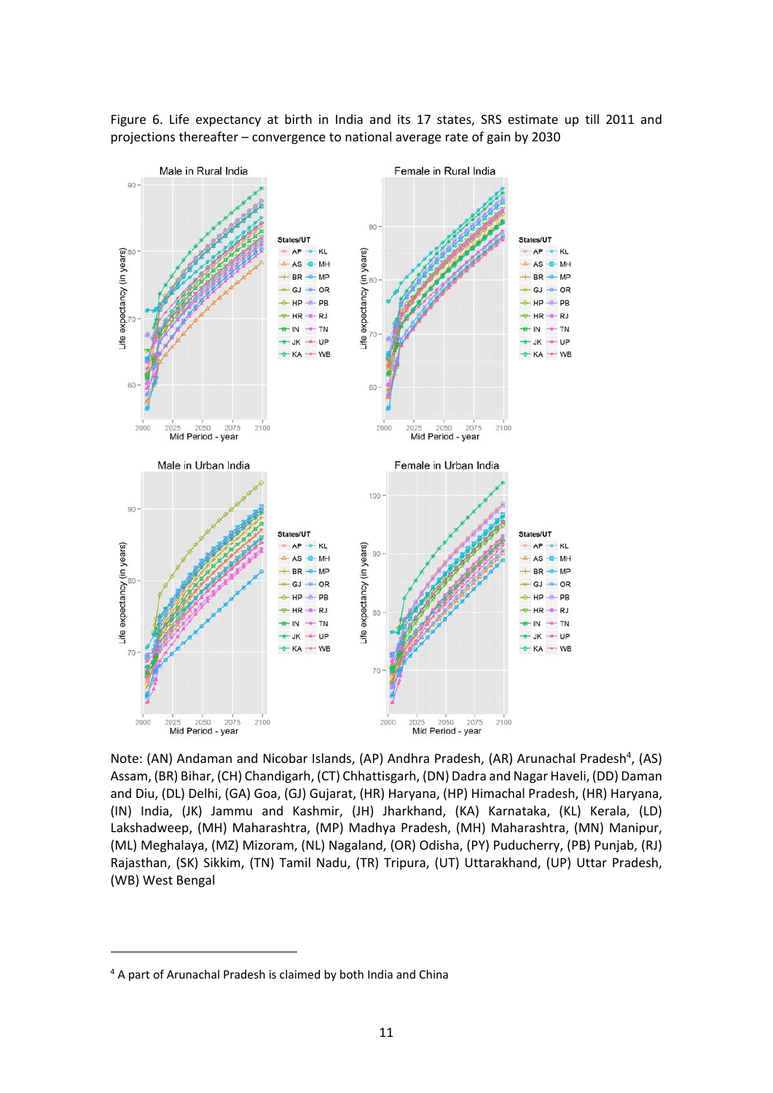

Figure 6. Life expectancy at birth in India and its 17 states, SRS estimate up till 2011 and projections thereafter – convergence to national average rate of gain by 2030

Note: (AN) Andaman and Nicobar Islands, (AP) Andhra Pradesh, (AR) Arunachal Pradesh<sup>4</sup>, (AS) Assam, (BR) Bihar, (CH) Chandigarh, (CT) Chhattisgarh, (DN) Dadra and Nagar Haveli, (DD) Daman and Diu, (DL) Delhi, (GA) Goa, (GJ) Gujarat, (HR) Haryana, (HP) Himachal Pradesh, (HR) Haryana, (IN) India, (JK) Jammu and Kashmir, (JH) Jharkhand, (KA) Karnataka, (KL) Kerala, (LD) Lakshadweep, (MH) Maharashtra, (MP) Madhya Pradesh, (MH) Maharashtra, (MN) Manipur, (ML) Meghalaya, (MZ) Mizoram, (NL) Nagaland, (OR) Odisha, (PY) Puducherry, (PB) Punjab, (RJ) Rajasthan, (SK) Sikkim, (TN) Tamil Nadu, (TR) Tripura, (UT) Uttarakhand, (UP) Uttar Pradesh, (WB) West Bengal

<sup>4</sup> A part of Arunachal Pradesh is claimed by both India and China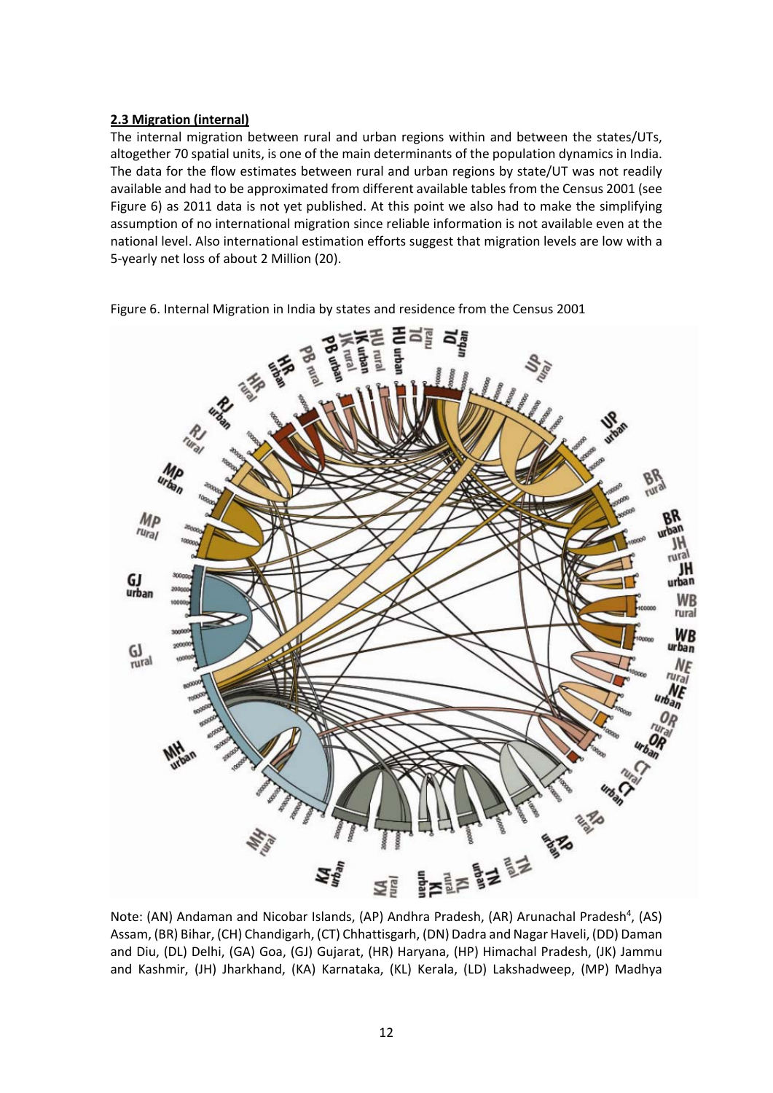## **2.3 Migration (internal)**

The internal migration between rural and urban regions within and between the states/UTs, altogether 70 spatial units, is one of the main determinants of the population dynamics in India. The data for the flow estimates between rural and urban regions by state/UT was not readily available and had to be approximated from different available tables from the Census 2001 (see Figure 6) as 2011 data is not yet published. At this point we also had to make the simplifying assumption of no international migration since reliable information is not available even at the national level. Also international estimation efforts suggest that migration levels are low with a 5‐yearly net loss of about 2 Million (20).



Figure 6. Internal Migration in India by states and residence from the Census 2001

Note: (AN) Andaman and Nicobar Islands, (AP) Andhra Pradesh, (AR) Arunachal Pradesh<sup>4</sup>, (AS) Assam, (BR) Bihar, (CH) Chandigarh, (CT) Chhattisgarh, (DN) Dadra and Nagar Haveli, (DD) Daman and Diu, (DL) Delhi, (GA) Goa, (GJ) Gujarat, (HR) Haryana, (HP) Himachal Pradesh, (JK) Jammu and Kashmir, (JH) Jharkhand, (KA) Karnataka, (KL) Kerala, (LD) Lakshadweep, (MP) Madhya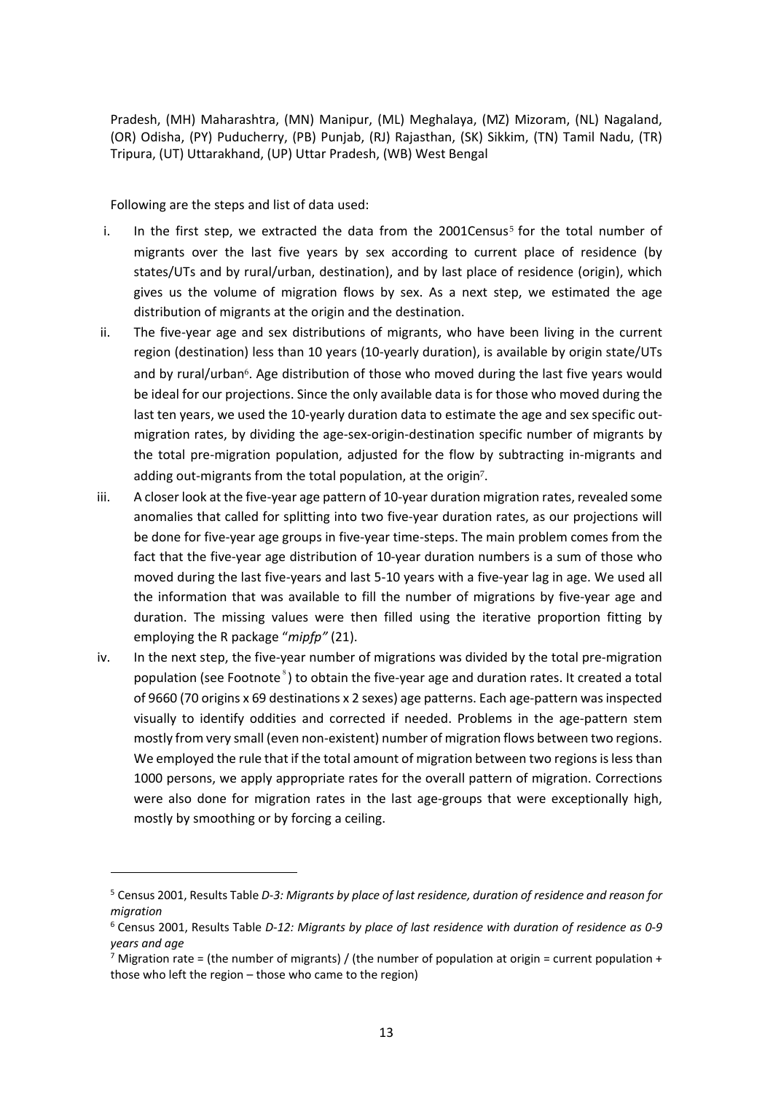Pradesh, (MH) Maharashtra, (MN) Manipur, (ML) Meghalaya, (MZ) Mizoram, (NL) Nagaland, (OR) Odisha, (PY) Puducherry, (PB) Punjab, (RJ) Rajasthan, (SK) Sikkim, (TN) Tamil Nadu, (TR) Tripura, (UT) Uttarakhand, (UP) Uttar Pradesh, (WB) West Bengal

Following are the steps and list of data used:

- i. In the first step, we extracted the data from the 2001Census<sup>5</sup> for the total number of migrants over the last five years by sex according to current place of residence (by states/UTs and by rural/urban, destination), and by last place of residence (origin), which gives us the volume of migration flows by sex. As a next step, we estimated the age distribution of migrants at the origin and the destination.
- ii. The five-year age and sex distributions of migrants, who have been living in the current region (destination) less than 10 years (10‐yearly duration), is available by origin state/UTs and by rural/urban<sup>6</sup>. Age distribution of those who moved during the last five years would be ideal for our projections. Since the only available data is for those who moved during the last ten years, we used the 10-yearly duration data to estimate the age and sex specific outmigration rates, by dividing the age‐sex‐origin‐destination specific number of migrants by the total pre‐migration population, adjusted for the flow by subtracting in‐migrants and adding out-migrants from the total population, at the origin<sup>7</sup>.
- iii. A closer look at the five‐year age pattern of 10‐year duration migration rates, revealed some anomalies that called for splitting into two five‐year duration rates, as our projections will be done for five-year age groups in five-year time-steps. The main problem comes from the fact that the five‐year age distribution of 10‐year duration numbers is a sum of those who moved during the last five-years and last 5-10 years with a five-year lag in age. We used all the information that was available to fill the number of migrations by five‐year age and duration. The missing values were then filled using the iterative proportion fitting by employing the R package "*mipfp"* (21).
- iv. In the next step, the five-year number of migrations was divided by the total pre-migration population (see Footnote<sup>8</sup>) to obtain the five-year age and duration rates. It created a total of 9660 (70 origins x 69 destinations x 2 sexes) age patterns. Each age‐pattern wasinspected visually to identify oddities and corrected if needed. Problems in the age‐pattern stem mostly from very small (even non‐existent) number of migration flows between two regions. We employed the rule that if the total amount of migration between two regions is less than 1000 persons, we apply appropriate rates for the overall pattern of migration. Corrections were also done for migration rates in the last age-groups that were exceptionally high, mostly by smoothing or by forcing a ceiling.

<sup>5</sup> Census 2001, Results Table *D‐3: Migrants by place of last residence, duration of residence and reason for migration*

<sup>6</sup> Census 2001, Results Table *D‐12: Migrants by place of last residence with duration of residence as 0‐9 years and age*

<sup>&</sup>lt;sup>7</sup> Migration rate = (the number of migrants) / (the number of population at origin = current population + those who left the region – those who came to the region)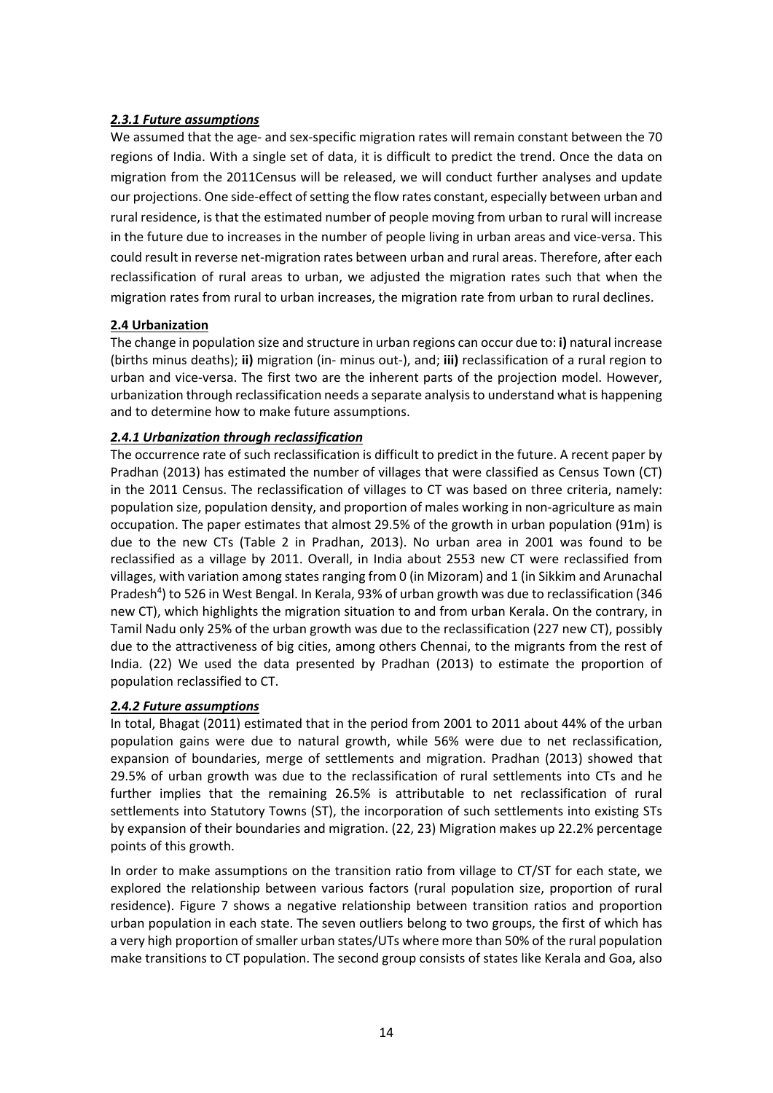## *2.3.1 Future assumptions*

We assumed that the age- and sex-specific migration rates will remain constant between the 70 regions of India. With a single set of data, it is difficult to predict the trend. Once the data on migration from the 2011Census will be released, we will conduct further analyses and update our projections. One side-effect of setting the flow rates constant, especially between urban and rural residence, is that the estimated number of people moving from urban to rural will increase in the future due to increases in the number of people living in urban areas and vice-versa. This could result in reverse net-migration rates between urban and rural areas. Therefore, after each reclassification of rural areas to urban, we adjusted the migration rates such that when the migration rates from rural to urban increases, the migration rate from urban to rural declines.

## **2.4 Urbanization**

The change in population size and structure in urban regions can occur due to: **i)** natural increase (births minus deaths); **ii)** migration (in‐ minus out‐), and; **iii)** reclassification of a rural region to urban and vice‐versa. The first two are the inherent parts of the projection model. However, urbanization through reclassification needs a separate analysisto understand what is happening and to determine how to make future assumptions.

## *2.4.1 Urbanization through reclassification*

The occurrence rate of such reclassification is difficult to predict in the future. A recent paper by Pradhan (2013) has estimated the number of villages that were classified as Census Town (CT) in the 2011 Census. The reclassification of villages to CT was based on three criteria, namely: population size, population density, and proportion of males working in non‐agriculture as main occupation. The paper estimates that almost 29.5% of the growth in urban population (91m) is due to the new CTs (Table 2 in Pradhan, 2013). No urban area in 2001 was found to be reclassified as a village by 2011. Overall, in India about 2553 new CT were reclassified from villages, with variation among states ranging from 0 (in Mizoram) and 1 (in Sikkim and Arunachal Pradesh<sup>4</sup>) to 526 in West Bengal. In Kerala, 93% of urban growth was due to reclassification (346 new CT), which highlights the migration situation to and from urban Kerala. On the contrary, in Tamil Nadu only 25% of the urban growth was due to the reclassification (227 new CT), possibly due to the attractiveness of big cities, among others Chennai, to the migrants from the rest of India. (22) We used the data presented by Pradhan (2013) to estimate the proportion of population reclassified to CT.

#### *2.4.2 Future assumptions*

In total, Bhagat (2011) estimated that in the period from 2001 to 2011 about 44% of the urban population gains were due to natural growth, while 56% were due to net reclassification, expansion of boundaries, merge of settlements and migration. Pradhan (2013) showed that 29.5% of urban growth was due to the reclassification of rural settlements into CTs and he further implies that the remaining 26.5% is attributable to net reclassification of rural settlements into Statutory Towns (ST), the incorporation of such settlements into existing STs by expansion of their boundaries and migration. (22, 23) Migration makes up 22.2% percentage points of this growth.

In order to make assumptions on the transition ratio from village to CT/ST for each state, we explored the relationship between various factors (rural population size, proportion of rural residence). Figure 7 shows a negative relationship between transition ratios and proportion urban population in each state. The seven outliers belong to two groups, the first of which has a very high proportion of smaller urban states/UTs where more than 50% of the rural population make transitions to CT population. The second group consists of states like Kerala and Goa, also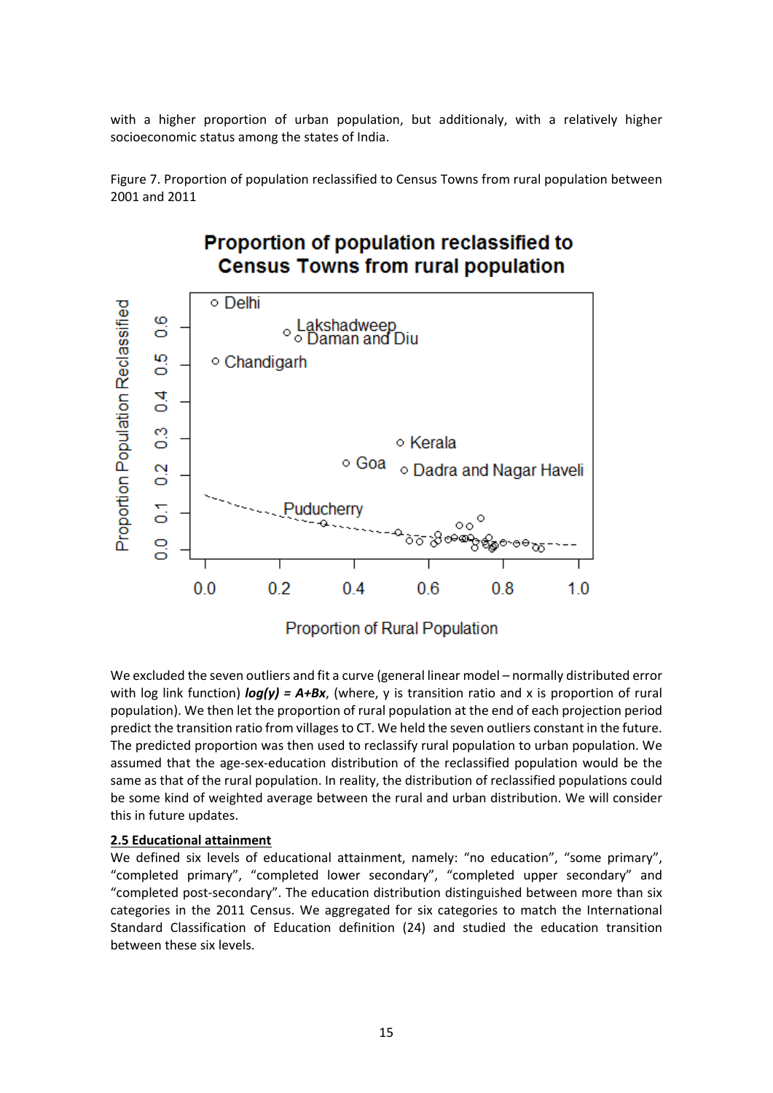with a higher proportion of urban population, but additionaly, with a relatively higher socioeconomic status among the states of India.

Figure 7. Proportion of population reclassified to Census Towns from rural population between 2001 and 2011

## **Proportion of population reclassified to Census Towns from rural population**



We excluded the seven outliers and fit a curve (general linear model – normally distributed error with log link function) *log(y) = A+Bx*, (where, y is transition ratio and x is proportion of rural population). We then let the proportion of rural population at the end of each projection period predict the transition ratio from villages to CT. We held the seven outliers constant in the future. The predicted proportion was then used to reclassify rural population to urban population. We assumed that the age‐sex‐education distribution of the reclassified population would be the same as that of the rural population. In reality, the distribution of reclassified populations could be some kind of weighted average between the rural and urban distribution. We will consider this in future updates.

#### **2.5 Educational attainment**

We defined six levels of educational attainment, namely: "no education", "some primary", "completed primary", "completed lower secondary", "completed upper secondary" and "completed post‐secondary". The education distribution distinguished between more than six categories in the 2011 Census. We aggregated for six categories to match the International Standard Classification of Education definition (24) and studied the education transition between these six levels.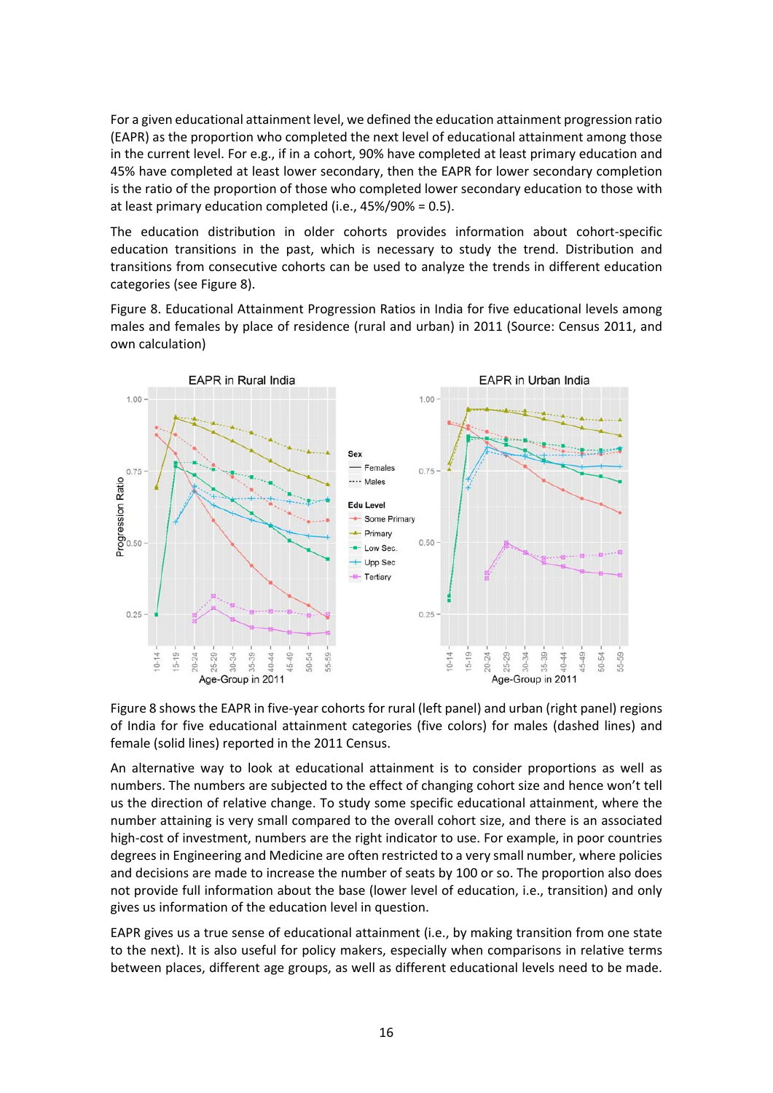For a given educational attainment level, we defined the education attainment progression ratio (EAPR) as the proportion who completed the next level of educational attainment among those in the current level. For e.g., if in a cohort, 90% have completed at least primary education and 45% have completed at least lower secondary, then the EAPR for lower secondary completion is the ratio of the proportion of those who completed lower secondary education to those with at least primary education completed (i.e., 45%/90% = 0.5).

The education distribution in older cohorts provides information about cohort‐specific education transitions in the past, which is necessary to study the trend. Distribution and transitions from consecutive cohorts can be used to analyze the trends in different education categories (see Figure 8).

Figure 8. Educational Attainment Progression Ratios in India for five educational levels among males and females by place of residence (rural and urban) in 2011 (Source: Census 2011, and own calculation)



Figure 8 shows the EAPR in five-year cohorts for rural (left panel) and urban (right panel) regions of India for five educational attainment categories (five colors) for males (dashed lines) and female (solid lines) reported in the 2011 Census.

An alternative way to look at educational attainment is to consider proportions as well as numbers. The numbers are subjected to the effect of changing cohort size and hence won't tell us the direction of relative change. To study some specific educational attainment, where the number attaining is very small compared to the overall cohort size, and there is an associated high-cost of investment, numbers are the right indicator to use. For example, in poor countries degrees in Engineering and Medicine are often restricted to a very small number, where policies and decisions are made to increase the number of seats by 100 or so. The proportion also does not provide full information about the base (lower level of education, i.e., transition) and only gives us information of the education level in question.

EAPR gives us a true sense of educational attainment (i.e., by making transition from one state to the next). It is also useful for policy makers, especially when comparisons in relative terms between places, different age groups, as well as different educational levels need to be made.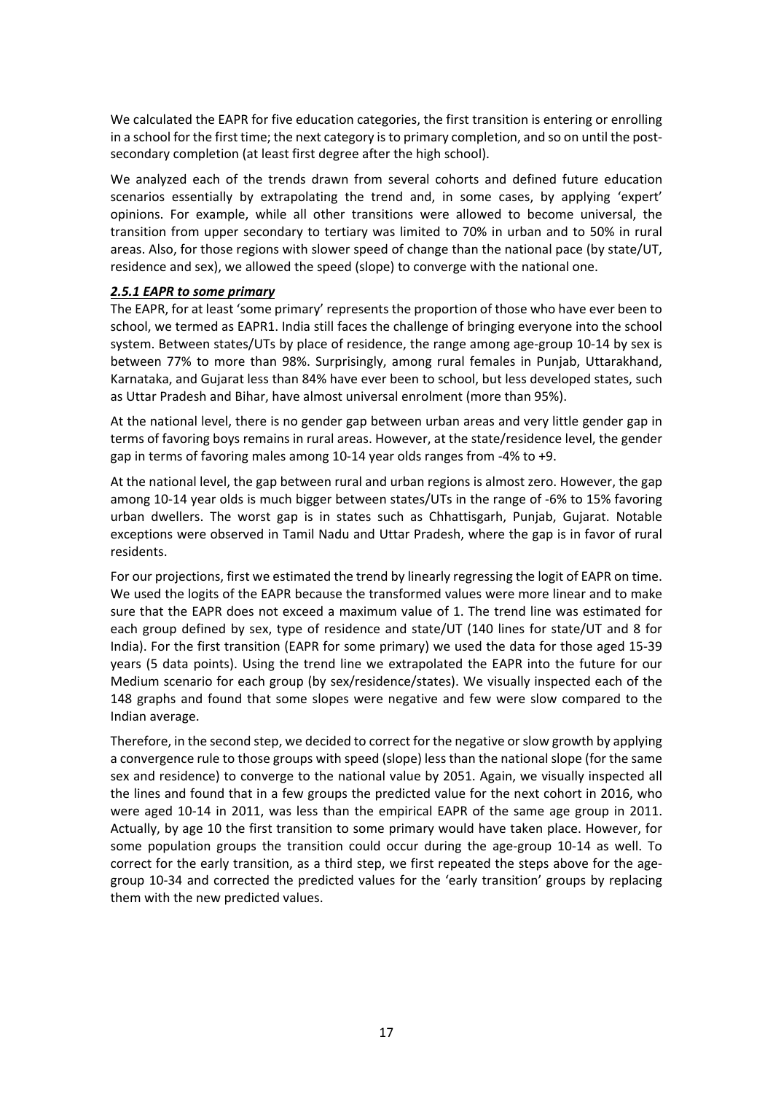We calculated the EAPR for five education categories, the first transition is entering or enrolling in a school for the first time; the next category is to primary completion, and so on until the postsecondary completion (at least first degree after the high school).

We analyzed each of the trends drawn from several cohorts and defined future education scenarios essentially by extrapolating the trend and, in some cases, by applying 'expert' opinions. For example, while all other transitions were allowed to become universal, the transition from upper secondary to tertiary was limited to 70% in urban and to 50% in rural areas. Also, for those regions with slower speed of change than the national pace (by state/UT, residence and sex), we allowed the speed (slope) to converge with the national one.

#### *2.5.1 EAPR to some primary*

The EAPR, for at least 'some primary' represents the proportion of those who have ever been to school, we termed as EAPR1. India still faces the challenge of bringing everyone into the school system. Between states/UTs by place of residence, the range among age-group 10-14 by sex is between 77% to more than 98%. Surprisingly, among rural females in Punjab, Uttarakhand, Karnataka, and Gujarat less than 84% have ever been to school, but less developed states, such as Uttar Pradesh and Bihar, have almost universal enrolment (more than 95%).

At the national level, there is no gender gap between urban areas and very little gender gap in terms of favoring boys remains in rural areas. However, at the state/residence level, the gender gap in terms of favoring males among 10‐14 year olds ranges from ‐4% to +9.

At the national level, the gap between rural and urban regions is almost zero. However, the gap among 10‐14 year olds is much bigger between states/UTs in the range of ‐6% to 15% favoring urban dwellers. The worst gap is in states such as Chhattisgarh, Punjab, Gujarat. Notable exceptions were observed in Tamil Nadu and Uttar Pradesh, where the gap is in favor of rural residents.

For our projections, first we estimated the trend by linearly regressing the logit of EAPR on time. We used the logits of the EAPR because the transformed values were more linear and to make sure that the EAPR does not exceed a maximum value of 1. The trend line was estimated for each group defined by sex, type of residence and state/UT (140 lines for state/UT and 8 for India). For the first transition (EAPR for some primary) we used the data for those aged 15‐39 years (5 data points). Using the trend line we extrapolated the EAPR into the future for our Medium scenario for each group (by sex/residence/states). We visually inspected each of the 148 graphs and found that some slopes were negative and few were slow compared to the Indian average.

Therefore, in the second step, we decided to correct for the negative orslow growth by applying a convergence rule to those groups with speed (slope) less than the national slope (for the same sex and residence) to converge to the national value by 2051. Again, we visually inspected all the lines and found that in a few groups the predicted value for the next cohort in 2016, who were aged 10‐14 in 2011, was less than the empirical EAPR of the same age group in 2011. Actually, by age 10 the first transition to some primary would have taken place. However, for some population groups the transition could occur during the age-group 10-14 as well. To correct for the early transition, as a third step, we first repeated the steps above for the agegroup 10‐34 and corrected the predicted values for the 'early transition' groups by replacing them with the new predicted values.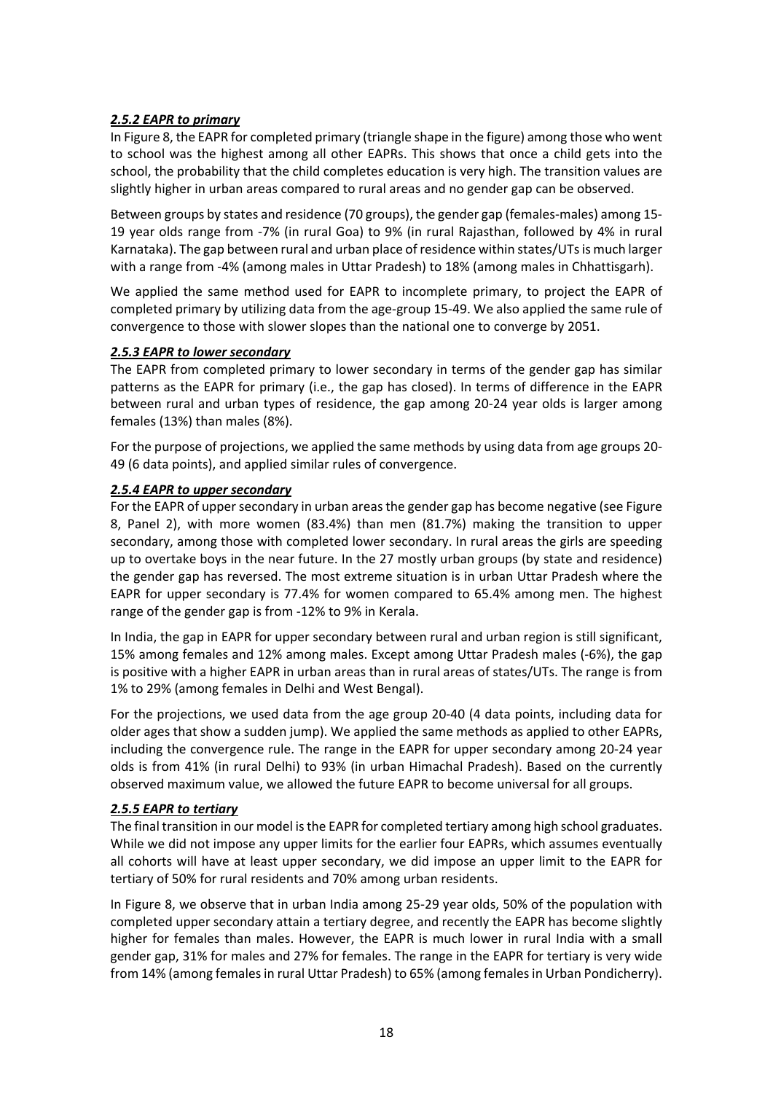## *2.5.2 EAPR to primary*

In Figure 8, the EAPR for completed primary (triangle shape in the figure) among those who went to school was the highest among all other EAPRs. This shows that once a child gets into the school, the probability that the child completes education is very high. The transition values are slightly higher in urban areas compared to rural areas and no gender gap can be observed.

Between groups by states and residence (70 groups), the gender gap (females-males) among 15-19 year olds range from ‐7% (in rural Goa) to 9% (in rural Rajasthan, followed by 4% in rural Karnataka). The gap between rural and urban place of residence within states/UTsis much larger with a range from -4% (among males in Uttar Pradesh) to 18% (among males in Chhattisgarh).

We applied the same method used for EAPR to incomplete primary, to project the EAPR of completed primary by utilizing data from the age‐group 15‐49. We also applied the same rule of convergence to those with slower slopes than the national one to converge by 2051.

## *2.5.3 EAPR to lower secondary*

The EAPR from completed primary to lower secondary in terms of the gender gap has similar patterns as the EAPR for primary (i.e., the gap has closed). In terms of difference in the EAPR between rural and urban types of residence, the gap among 20‐24 year olds is larger among females (13%) than males (8%).

For the purpose of projections, we applied the same methods by using data from age groups 20‐ 49 (6 data points), and applied similar rules of convergence.

## *2.5.4 EAPR to upper secondary*

For the EAPR of upper secondary in urban areas the gender gap has become negative (see Figure 8, Panel 2), with more women (83.4%) than men (81.7%) making the transition to upper secondary, among those with completed lower secondary. In rural areas the girls are speeding up to overtake boys in the near future. In the 27 mostly urban groups (by state and residence) the gender gap has reversed. The most extreme situation is in urban Uttar Pradesh where the EAPR for upper secondary is 77.4% for women compared to 65.4% among men. The highest range of the gender gap is from ‐12% to 9% in Kerala.

In India, the gap in EAPR for upper secondary between rural and urban region is still significant, 15% among females and 12% among males. Except among Uttar Pradesh males (‐6%), the gap is positive with a higher EAPR in urban areas than in rural areas of states/UTs. The range is from 1% to 29% (among females in Delhi and West Bengal).

For the projections, we used data from the age group 20‐40 (4 data points, including data for older ages that show a sudden jump). We applied the same methods as applied to other EAPRs, including the convergence rule. The range in the EAPR for upper secondary among 20‐24 year olds is from 41% (in rural Delhi) to 93% (in urban Himachal Pradesh). Based on the currently observed maximum value, we allowed the future EAPR to become universal for all groups.

## *2.5.5 EAPR to tertiary*

The final transition in our model is the EAPR for completed tertiary among high school graduates. While we did not impose any upper limits for the earlier four EAPRs, which assumes eventually all cohorts will have at least upper secondary, we did impose an upper limit to the EAPR for tertiary of 50% for rural residents and 70% among urban residents.

In Figure 8, we observe that in urban India among 25‐29 year olds, 50% of the population with completed upper secondary attain a tertiary degree, and recently the EAPR has become slightly higher for females than males. However, the EAPR is much lower in rural India with a small gender gap, 31% for males and 27% for females. The range in the EAPR for tertiary is very wide from 14% (among females in rural Uttar Pradesh) to 65% (among females in Urban Pondicherry).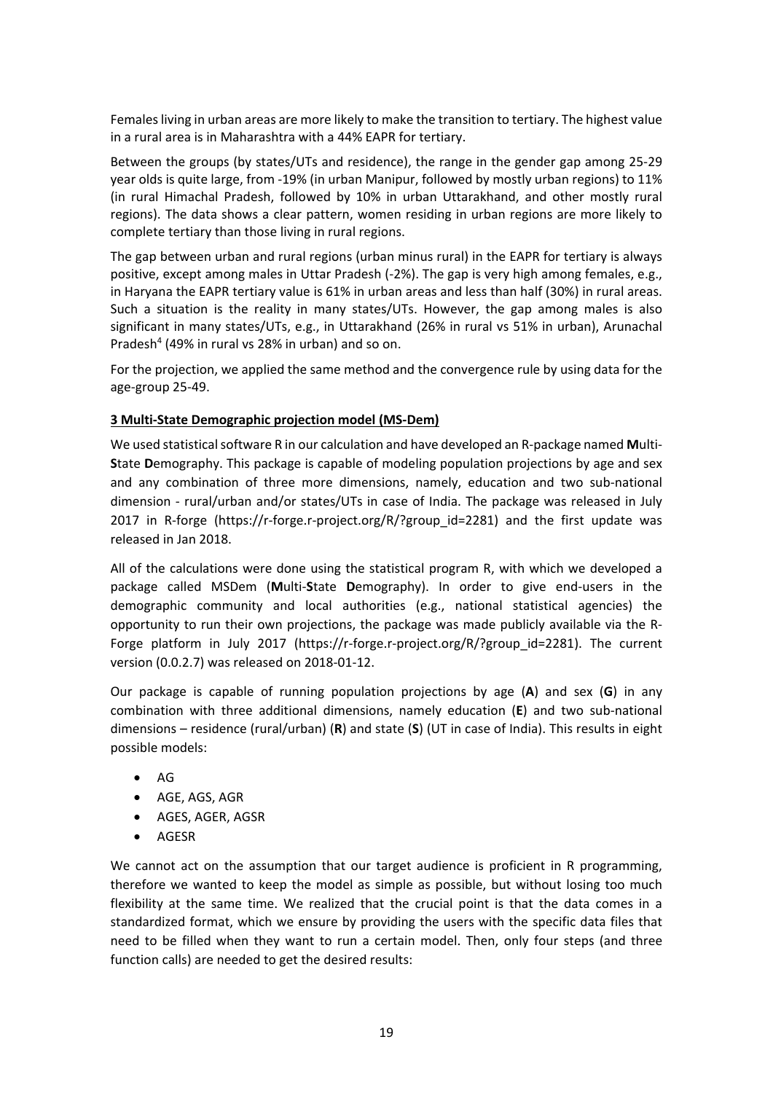Females living in urban areas are more likely to make the transition to tertiary. The highest value in a rural area is in Maharashtra with a 44% EAPR for tertiary.

Between the groups (by states/UTs and residence), the range in the gender gap among 25‐29 year olds is quite large, from ‐19% (in urban Manipur, followed by mostly urban regions) to 11% (in rural Himachal Pradesh, followed by 10% in urban Uttarakhand, and other mostly rural regions). The data shows a clear pattern, women residing in urban regions are more likely to complete tertiary than those living in rural regions.

The gap between urban and rural regions (urban minus rural) in the EAPR for tertiary is always positive, except among males in Uttar Pradesh (‐2%). The gap is very high among females, e.g., in Haryana the EAPR tertiary value is 61% in urban areas and less than half (30%) in rural areas. Such a situation is the reality in many states/UTs. However, the gap among males is also significant in many states/UTs, e.g., in Uttarakhand (26% in rural vs 51% in urban), Arunachal Pradesh<sup>4</sup> (49% in rural vs 28% in urban) and so on.

For the projection, we applied the same method and the convergence rule by using data for the age‐group 25‐49.

## **3 Multi‐State Demographic projection model (MS‐Dem)**

We used statistical software R in our calculation and have developed an R-package named Multi-**S**tate **D**emography. This package is capable of modeling population projections by age and sex and any combination of three more dimensions, namely, education and two sub-national dimension - rural/urban and/or states/UTs in case of India. The package was released in July 2017 in R-forge (https://r-forge.r-project.org/R/?group id=2281) and the first update was released in Jan 2018.

All of the calculations were done using the statistical program R, with which we developed a package called MSDem (**M**ulti‐**S**tate **D**emography). In order to give end‐users in the demographic community and local authorities (e.g., national statistical agencies) the opportunity to run their own projections, the package was made publicly available via the R‐ Forge platform in July 2017 (https://r‐forge.r‐project.org/R/?group\_id=2281). The current version (0.0.2.7) was released on 2018‐01‐12.

Our package is capable of running population projections by age (**A**) and sex (**G**) in any combination with three additional dimensions, namely education (**E**) and two sub‐national dimensions – residence (rural/urban) (**R**) and state (**S**) (UT in case of India). This results in eight possible models:

- $\bullet$  AG
- AGE, AGS, AGR
- **AGES, AGER, AGSR**
- AGESR

We cannot act on the assumption that our target audience is proficient in R programming, therefore we wanted to keep the model as simple as possible, but without losing too much flexibility at the same time. We realized that the crucial point is that the data comes in a standardized format, which we ensure by providing the users with the specific data files that need to be filled when they want to run a certain model. Then, only four steps (and three function calls) are needed to get the desired results: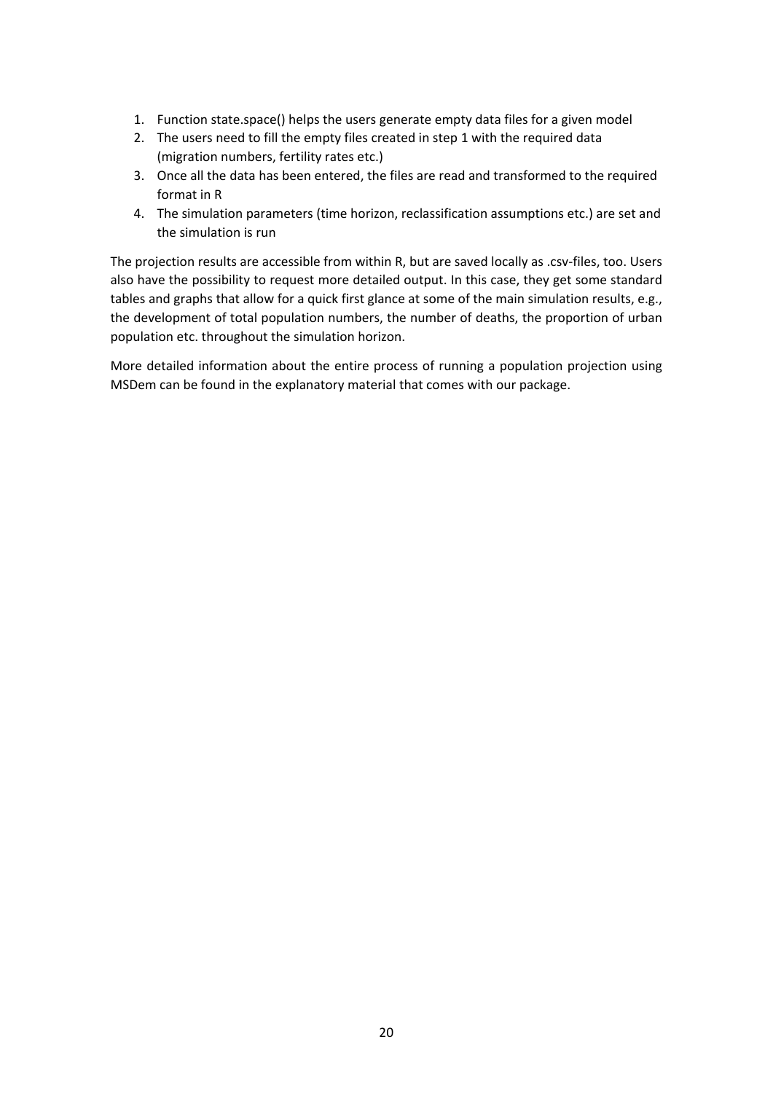- 1. Function state.space() helps the users generate empty data files for a given model
- 2. The users need to fill the empty files created in step 1 with the required data (migration numbers, fertility rates etc.)
- 3. Once all the data has been entered, the files are read and transformed to the required format in R
- 4. The simulation parameters (time horizon, reclassification assumptions etc.) are set and the simulation is run

The projection results are accessible from within R, but are saved locally as .csv-files, too. Users also have the possibility to request more detailed output. In this case, they get some standard tables and graphs that allow for a quick first glance at some of the main simulation results, e.g., the development of total population numbers, the number of deaths, the proportion of urban population etc. throughout the simulation horizon.

More detailed information about the entire process of running a population projection using MSDem can be found in the explanatory material that comes with our package.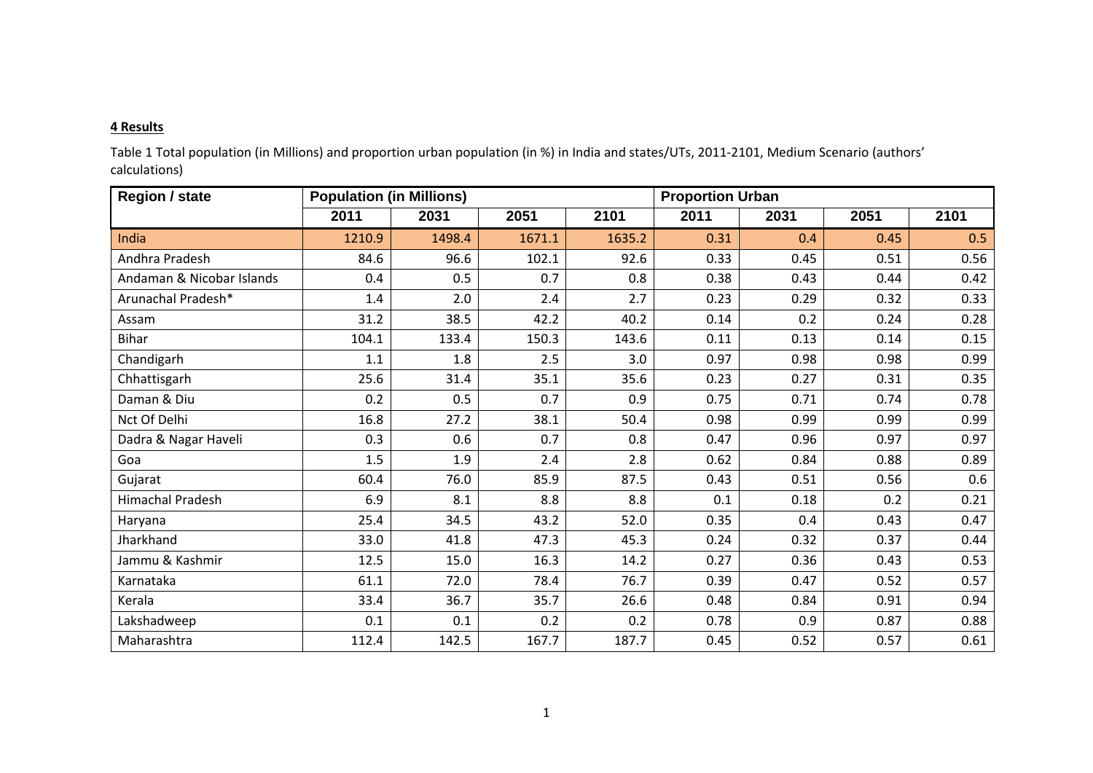#### **4 Results**

Table 1 Total population (in Millions) and proportion urban population (in %) in India and states/UTs, 2011‐2101, Medium Scenario (authors' calculations)

| <b>Region / state</b>     | <b>Population (in Millions)</b> |        |        | <b>Proportion Urban</b> |      |      |      |      |
|---------------------------|---------------------------------|--------|--------|-------------------------|------|------|------|------|
|                           | 2011                            | 2031   | 2051   | 2101                    | 2011 | 2031 | 2051 | 2101 |
| India                     | 1210.9                          | 1498.4 | 1671.1 | 1635.2                  | 0.31 | 0.4  | 0.45 | 0.5  |
| Andhra Pradesh            | 84.6                            | 96.6   | 102.1  | 92.6                    | 0.33 | 0.45 | 0.51 | 0.56 |
| Andaman & Nicobar Islands | 0.4                             | 0.5    | 0.7    | 0.8                     | 0.38 | 0.43 | 0.44 | 0.42 |
| Arunachal Pradesh*        | 1.4                             | 2.0    | 2.4    | 2.7                     | 0.23 | 0.29 | 0.32 | 0.33 |
| Assam                     | 31.2                            | 38.5   | 42.2   | 40.2                    | 0.14 | 0.2  | 0.24 | 0.28 |
| <b>Bihar</b>              | 104.1                           | 133.4  | 150.3  | 143.6                   | 0.11 | 0.13 | 0.14 | 0.15 |
| Chandigarh                | 1.1                             | 1.8    | 2.5    | 3.0                     | 0.97 | 0.98 | 0.98 | 0.99 |
| Chhattisgarh              | 25.6                            | 31.4   | 35.1   | 35.6                    | 0.23 | 0.27 | 0.31 | 0.35 |
| Daman & Diu               | 0.2                             | 0.5    | 0.7    | 0.9                     | 0.75 | 0.71 | 0.74 | 0.78 |
| Nct Of Delhi              | 16.8                            | 27.2   | 38.1   | 50.4                    | 0.98 | 0.99 | 0.99 | 0.99 |
| Dadra & Nagar Haveli      | 0.3                             | 0.6    | 0.7    | 0.8                     | 0.47 | 0.96 | 0.97 | 0.97 |
| Goa                       | 1.5                             | 1.9    | 2.4    | 2.8                     | 0.62 | 0.84 | 0.88 | 0.89 |
| Gujarat                   | 60.4                            | 76.0   | 85.9   | 87.5                    | 0.43 | 0.51 | 0.56 | 0.6  |
| Himachal Pradesh          | 6.9                             | 8.1    | 8.8    | 8.8                     | 0.1  | 0.18 | 0.2  | 0.21 |
| Haryana                   | 25.4                            | 34.5   | 43.2   | 52.0                    | 0.35 | 0.4  | 0.43 | 0.47 |
| Jharkhand                 | 33.0                            | 41.8   | 47.3   | 45.3                    | 0.24 | 0.32 | 0.37 | 0.44 |
| Jammu & Kashmir           | 12.5                            | 15.0   | 16.3   | 14.2                    | 0.27 | 0.36 | 0.43 | 0.53 |
| Karnataka                 | 61.1                            | 72.0   | 78.4   | 76.7                    | 0.39 | 0.47 | 0.52 | 0.57 |
| Kerala                    | 33.4                            | 36.7   | 35.7   | 26.6                    | 0.48 | 0.84 | 0.91 | 0.94 |
| Lakshadweep               | 0.1                             | 0.1    | 0.2    | 0.2                     | 0.78 | 0.9  | 0.87 | 0.88 |
| Maharashtra               | 112.4                           | 142.5  | 167.7  | 187.7                   | 0.45 | 0.52 | 0.57 | 0.61 |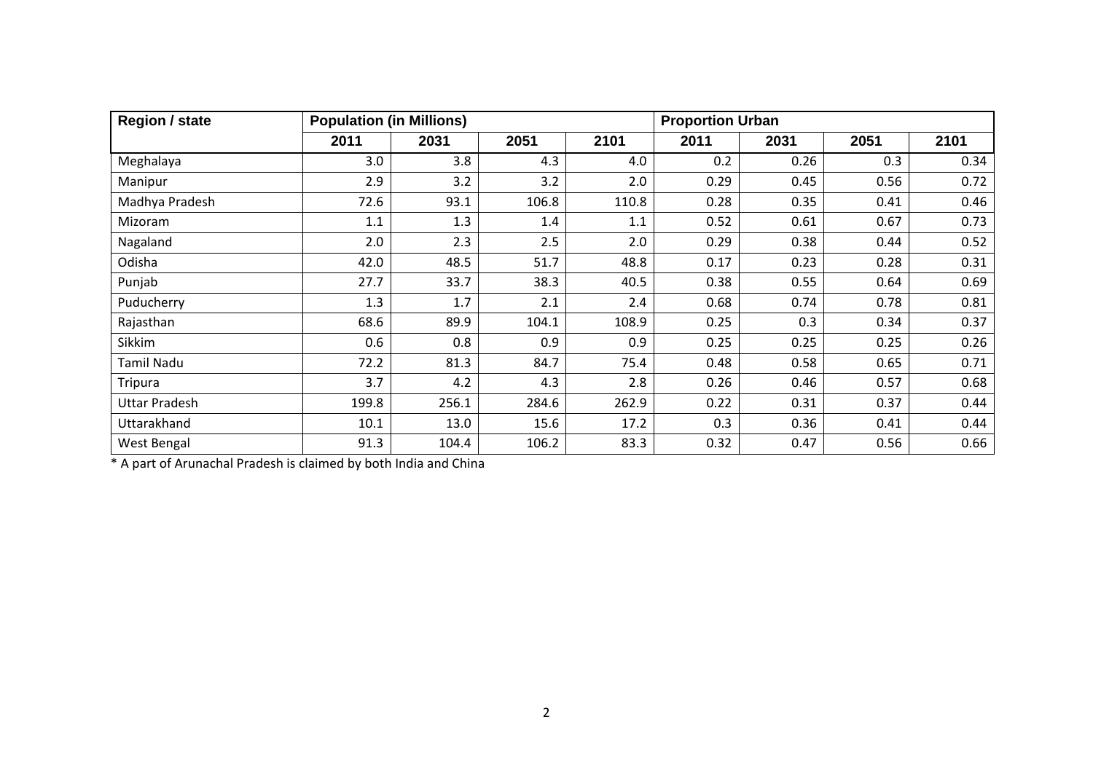| <b>Region / state</b> | <b>Population (in Millions)</b> |       |       |       | <b>Proportion Urban</b> |      |      |      |
|-----------------------|---------------------------------|-------|-------|-------|-------------------------|------|------|------|
|                       | 2011                            | 2031  | 2051  | 2101  | 2011                    | 2031 | 2051 | 2101 |
| Meghalaya             | 3.0                             | 3.8   | 4.3   | 4.0   | 0.2                     | 0.26 | 0.3  | 0.34 |
| Manipur               | 2.9                             | 3.2   | 3.2   | 2.0   | 0.29                    | 0.45 | 0.56 | 0.72 |
| Madhya Pradesh        | 72.6                            | 93.1  | 106.8 | 110.8 | 0.28                    | 0.35 | 0.41 | 0.46 |
| Mizoram               | 1.1                             | 1.3   | 1.4   | 1.1   | 0.52                    | 0.61 | 0.67 | 0.73 |
| Nagaland              | 2.0                             | 2.3   | 2.5   | 2.0   | 0.29                    | 0.38 | 0.44 | 0.52 |
| Odisha                | 42.0                            | 48.5  | 51.7  | 48.8  | 0.17                    | 0.23 | 0.28 | 0.31 |
| Punjab                | 27.7                            | 33.7  | 38.3  | 40.5  | 0.38                    | 0.55 | 0.64 | 0.69 |
| Puducherry            | 1.3                             | 1.7   | 2.1   | 2.4   | 0.68                    | 0.74 | 0.78 | 0.81 |
| Rajasthan             | 68.6                            | 89.9  | 104.1 | 108.9 | 0.25                    | 0.3  | 0.34 | 0.37 |
| Sikkim                | 0.6                             | 0.8   | 0.9   | 0.9   | 0.25                    | 0.25 | 0.25 | 0.26 |
| Tamil Nadu            | 72.2                            | 81.3  | 84.7  | 75.4  | 0.48                    | 0.58 | 0.65 | 0.71 |
| <b>Tripura</b>        | 3.7                             | 4.2   | 4.3   | 2.8   | 0.26                    | 0.46 | 0.57 | 0.68 |
| <b>Uttar Pradesh</b>  | 199.8                           | 256.1 | 284.6 | 262.9 | 0.22                    | 0.31 | 0.37 | 0.44 |
| Uttarakhand           | 10.1                            | 13.0  | 15.6  | 17.2  | 0.3                     | 0.36 | 0.41 | 0.44 |
| West Bengal           | 91.3                            | 104.4 | 106.2 | 83.3  | 0.32                    | 0.47 | 0.56 | 0.66 |

\* A part of Arunachal Pradesh is claimed by both India and China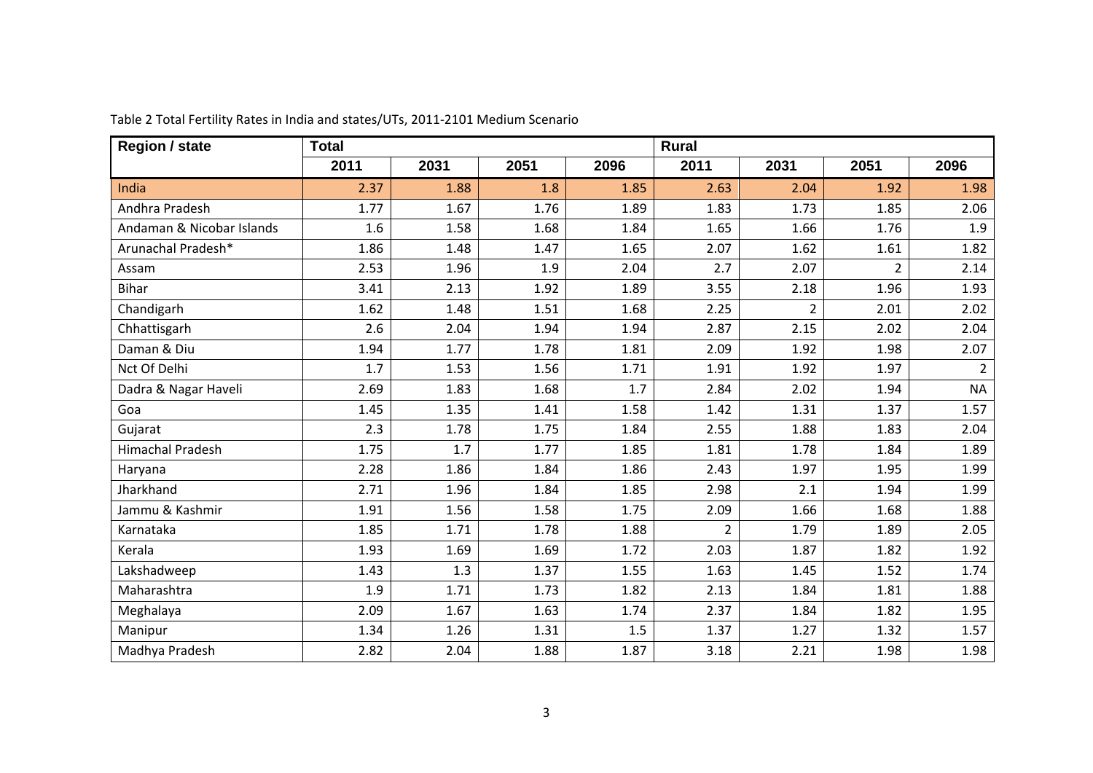| <b>Region / state</b>     | <b>Total</b> |      |      |      | <b>Rural</b>   |                |                |                |  |
|---------------------------|--------------|------|------|------|----------------|----------------|----------------|----------------|--|
|                           | 2011         | 2031 | 2051 | 2096 | 2011           | 2031           | 2051           | 2096           |  |
| India                     | 2.37         | 1.88 | 1.8  | 1.85 | 2.63           | 2.04           | 1.92           | 1.98           |  |
| Andhra Pradesh            | 1.77         | 1.67 | 1.76 | 1.89 | 1.83           | 1.73           | 1.85           | 2.06           |  |
| Andaman & Nicobar Islands | 1.6          | 1.58 | 1.68 | 1.84 | 1.65           | 1.66           | 1.76           | 1.9            |  |
| Arunachal Pradesh*        | 1.86         | 1.48 | 1.47 | 1.65 | 2.07           | 1.62           | 1.61           | 1.82           |  |
| Assam                     | 2.53         | 1.96 | 1.9  | 2.04 | 2.7            | 2.07           | $\overline{2}$ | 2.14           |  |
| <b>Bihar</b>              | 3.41         | 2.13 | 1.92 | 1.89 | 3.55           | 2.18           | 1.96           | 1.93           |  |
| Chandigarh                | 1.62         | 1.48 | 1.51 | 1.68 | 2.25           | $\overline{2}$ | 2.01           | 2.02           |  |
| Chhattisgarh              | 2.6          | 2.04 | 1.94 | 1.94 | 2.87           | 2.15           | 2.02           | 2.04           |  |
| Daman & Diu               | 1.94         | 1.77 | 1.78 | 1.81 | 2.09           | 1.92           | 1.98           | 2.07           |  |
| Nct Of Delhi              | 1.7          | 1.53 | 1.56 | 1.71 | 1.91           | 1.92           | 1.97           | $\overline{2}$ |  |
| Dadra & Nagar Haveli      | 2.69         | 1.83 | 1.68 | 1.7  | 2.84           | 2.02           | 1.94           | <b>NA</b>      |  |
| Goa                       | 1.45         | 1.35 | 1.41 | 1.58 | 1.42           | 1.31           | 1.37           | 1.57           |  |
| Gujarat                   | 2.3          | 1.78 | 1.75 | 1.84 | 2.55           | 1.88           | 1.83           | 2.04           |  |
| <b>Himachal Pradesh</b>   | 1.75         | 1.7  | 1.77 | 1.85 | 1.81           | 1.78           | 1.84           | 1.89           |  |
| Haryana                   | 2.28         | 1.86 | 1.84 | 1.86 | 2.43           | 1.97           | 1.95           | 1.99           |  |
| Jharkhand                 | 2.71         | 1.96 | 1.84 | 1.85 | 2.98           | 2.1            | 1.94           | 1.99           |  |
| Jammu & Kashmir           | 1.91         | 1.56 | 1.58 | 1.75 | 2.09           | 1.66           | 1.68           | 1.88           |  |
| Karnataka                 | 1.85         | 1.71 | 1.78 | 1.88 | $\overline{2}$ | 1.79           | 1.89           | 2.05           |  |
| Kerala                    | 1.93         | 1.69 | 1.69 | 1.72 | 2.03           | 1.87           | 1.82           | 1.92           |  |
| Lakshadweep               | 1.43         | 1.3  | 1.37 | 1.55 | 1.63           | 1.45           | 1.52           | 1.74           |  |
| Maharashtra               | 1.9          | 1.71 | 1.73 | 1.82 | 2.13           | 1.84           | 1.81           | 1.88           |  |
| Meghalaya                 | 2.09         | 1.67 | 1.63 | 1.74 | 2.37           | 1.84           | 1.82           | 1.95           |  |
| Manipur                   | 1.34         | 1.26 | 1.31 | 1.5  | 1.37           | 1.27           | 1.32           | 1.57           |  |
| Madhya Pradesh            | 2.82         | 2.04 | 1.88 | 1.87 | 3.18           | 2.21           | 1.98           | 1.98           |  |

Table 2 Total Fertility Rates in India and states/UTs, 2011‐2101 Medium Scenario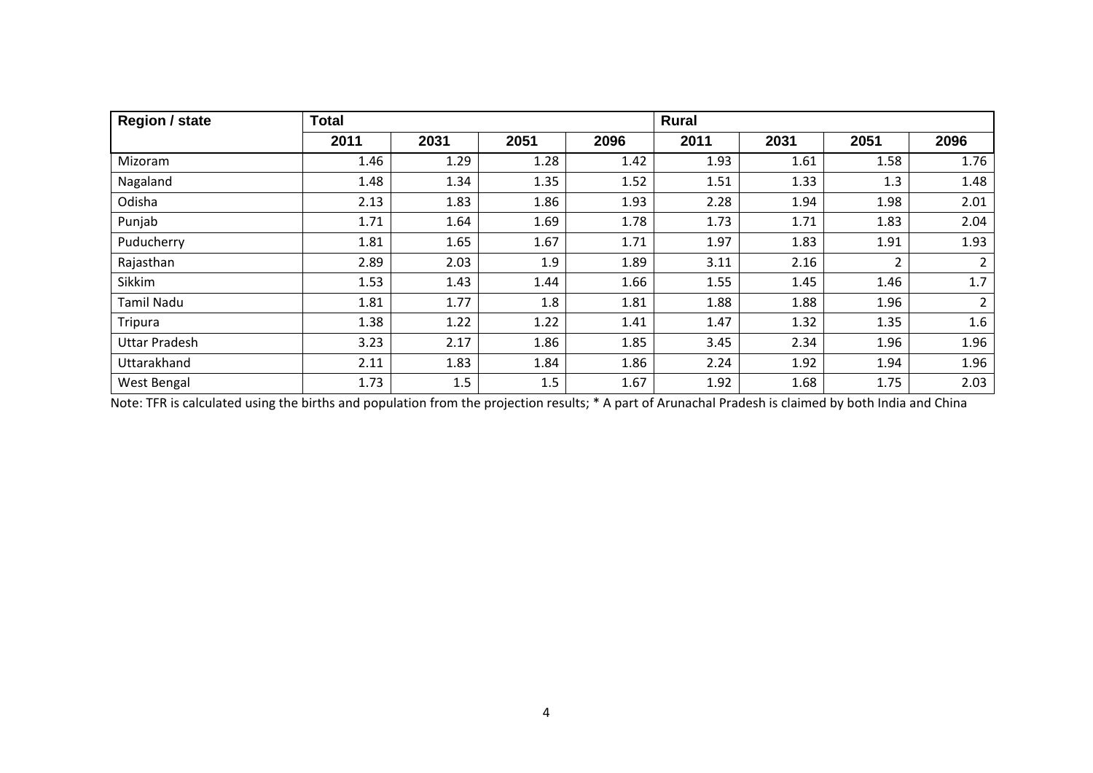| <b>Region / state</b> | <b>Total</b> |      |      |      | <b>Rural</b> |      |                |                |
|-----------------------|--------------|------|------|------|--------------|------|----------------|----------------|
|                       | 2011         | 2031 | 2051 | 2096 | 2011         | 2031 | 2051           | 2096           |
| Mizoram               | 1.46         | 1.29 | 1.28 | 1.42 | 1.93         | 1.61 | 1.58           | 1.76           |
| Nagaland              | 1.48         | 1.34 | 1.35 | 1.52 | 1.51         | 1.33 | 1.3            | 1.48           |
| Odisha                | 2.13         | 1.83 | 1.86 | 1.93 | 2.28         | 1.94 | 1.98           | 2.01           |
| Punjab                | 1.71         | 1.64 | 1.69 | 1.78 | 1.73         | 1.71 | 1.83           | 2.04           |
| Puducherry            | 1.81         | 1.65 | 1.67 | 1.71 | 1.97         | 1.83 | 1.91           | 1.93           |
| Rajasthan             | 2.89         | 2.03 | 1.9  | 1.89 | 3.11         | 2.16 | $\overline{2}$ | $\overline{2}$ |
| Sikkim                | 1.53         | 1.43 | 1.44 | 1.66 | 1.55         | 1.45 | 1.46           | 1.7            |
| <b>Tamil Nadu</b>     | 1.81         | 1.77 | 1.8  | 1.81 | 1.88         | 1.88 | 1.96           | $\overline{2}$ |
| Tripura               | 1.38         | 1.22 | 1.22 | 1.41 | 1.47         | 1.32 | 1.35           | 1.6            |
| <b>Uttar Pradesh</b>  | 3.23         | 2.17 | 1.86 | 1.85 | 3.45         | 2.34 | 1.96           | 1.96           |
| Uttarakhand           | 2.11         | 1.83 | 1.84 | 1.86 | 2.24         | 1.92 | 1.94           | 1.96           |
| West Bengal           | 1.73         | 1.5  | 1.5  | 1.67 | 1.92         | 1.68 | 1.75           | 2.03           |

Note: TFR is calculated using the births and population from the projection results; \* A part of Arunachal Pradesh is claimed by both India and China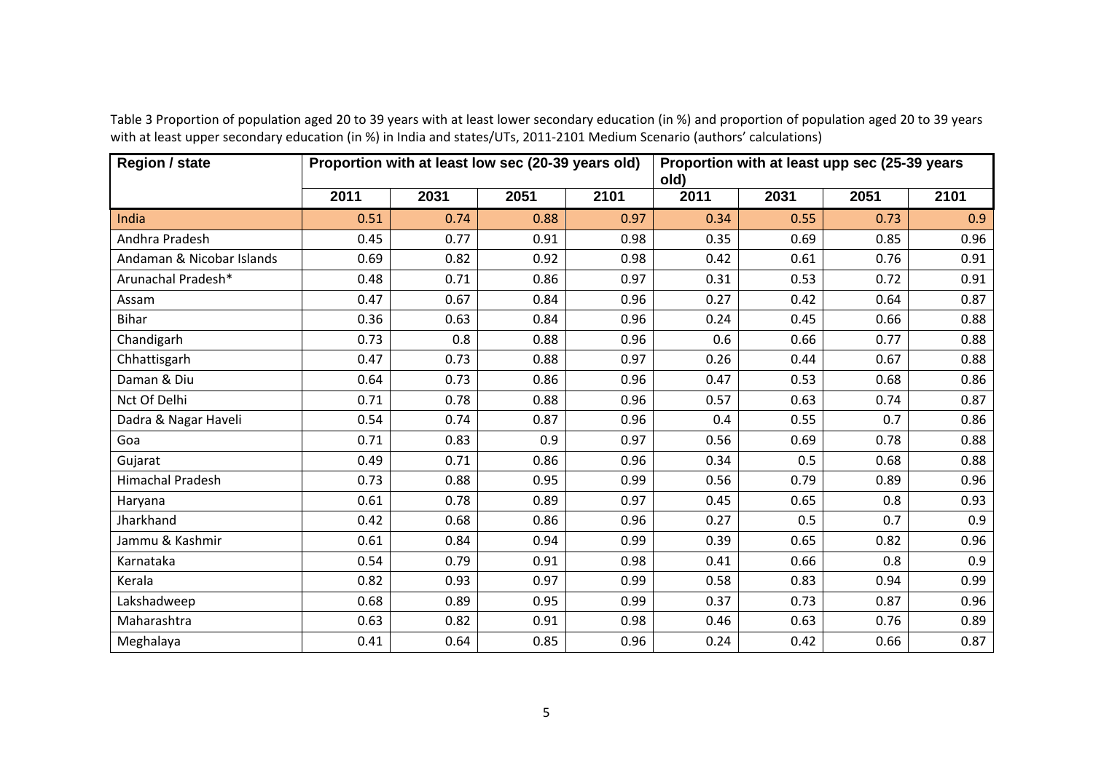| <b>Region / state</b>     | Proportion with at least low sec (20-39 years old) |      |      |      | Proportion with at least upp sec (25-39 years<br>old) |      |      |      |
|---------------------------|----------------------------------------------------|------|------|------|-------------------------------------------------------|------|------|------|
|                           | 2011                                               | 2031 | 2051 | 2101 | 2011                                                  | 2031 | 2051 | 2101 |
| India                     | 0.51                                               | 0.74 | 0.88 | 0.97 | 0.34                                                  | 0.55 | 0.73 | 0.9  |
| Andhra Pradesh            | 0.45                                               | 0.77 | 0.91 | 0.98 | 0.35                                                  | 0.69 | 0.85 | 0.96 |
| Andaman & Nicobar Islands | 0.69                                               | 0.82 | 0.92 | 0.98 | 0.42                                                  | 0.61 | 0.76 | 0.91 |
| Arunachal Pradesh*        | 0.48                                               | 0.71 | 0.86 | 0.97 | 0.31                                                  | 0.53 | 0.72 | 0.91 |
| Assam                     | 0.47                                               | 0.67 | 0.84 | 0.96 | 0.27                                                  | 0.42 | 0.64 | 0.87 |
| <b>Bihar</b>              | 0.36                                               | 0.63 | 0.84 | 0.96 | 0.24                                                  | 0.45 | 0.66 | 0.88 |
| Chandigarh                | 0.73                                               | 0.8  | 0.88 | 0.96 | 0.6                                                   | 0.66 | 0.77 | 0.88 |
| Chhattisgarh              | 0.47                                               | 0.73 | 0.88 | 0.97 | 0.26                                                  | 0.44 | 0.67 | 0.88 |
| Daman & Diu               | 0.64                                               | 0.73 | 0.86 | 0.96 | 0.47                                                  | 0.53 | 0.68 | 0.86 |
| Nct Of Delhi              | 0.71                                               | 0.78 | 0.88 | 0.96 | 0.57                                                  | 0.63 | 0.74 | 0.87 |
| Dadra & Nagar Haveli      | 0.54                                               | 0.74 | 0.87 | 0.96 | 0.4                                                   | 0.55 | 0.7  | 0.86 |
| Goa                       | 0.71                                               | 0.83 | 0.9  | 0.97 | 0.56                                                  | 0.69 | 0.78 | 0.88 |
| Gujarat                   | 0.49                                               | 0.71 | 0.86 | 0.96 | 0.34                                                  | 0.5  | 0.68 | 0.88 |
| <b>Himachal Pradesh</b>   | 0.73                                               | 0.88 | 0.95 | 0.99 | 0.56                                                  | 0.79 | 0.89 | 0.96 |
| Haryana                   | 0.61                                               | 0.78 | 0.89 | 0.97 | 0.45                                                  | 0.65 | 0.8  | 0.93 |
| Jharkhand                 | 0.42                                               | 0.68 | 0.86 | 0.96 | 0.27                                                  | 0.5  | 0.7  | 0.9  |
| Jammu & Kashmir           | 0.61                                               | 0.84 | 0.94 | 0.99 | 0.39                                                  | 0.65 | 0.82 | 0.96 |
| Karnataka                 | 0.54                                               | 0.79 | 0.91 | 0.98 | 0.41                                                  | 0.66 | 0.8  | 0.9  |
| Kerala                    | 0.82                                               | 0.93 | 0.97 | 0.99 | 0.58                                                  | 0.83 | 0.94 | 0.99 |
| Lakshadweep               | 0.68                                               | 0.89 | 0.95 | 0.99 | 0.37                                                  | 0.73 | 0.87 | 0.96 |
| Maharashtra               | 0.63                                               | 0.82 | 0.91 | 0.98 | 0.46                                                  | 0.63 | 0.76 | 0.89 |
| Meghalaya                 | 0.41                                               | 0.64 | 0.85 | 0.96 | 0.24                                                  | 0.42 | 0.66 | 0.87 |

Table 3 Proportion of population aged 20 to 39 years with at least lower secondary education (in %) and proportion of population aged 20 to 39 years with at least upper secondary education (in %) in India and states/UTs, 2011‐2101 Medium Scenario (authors' calculations)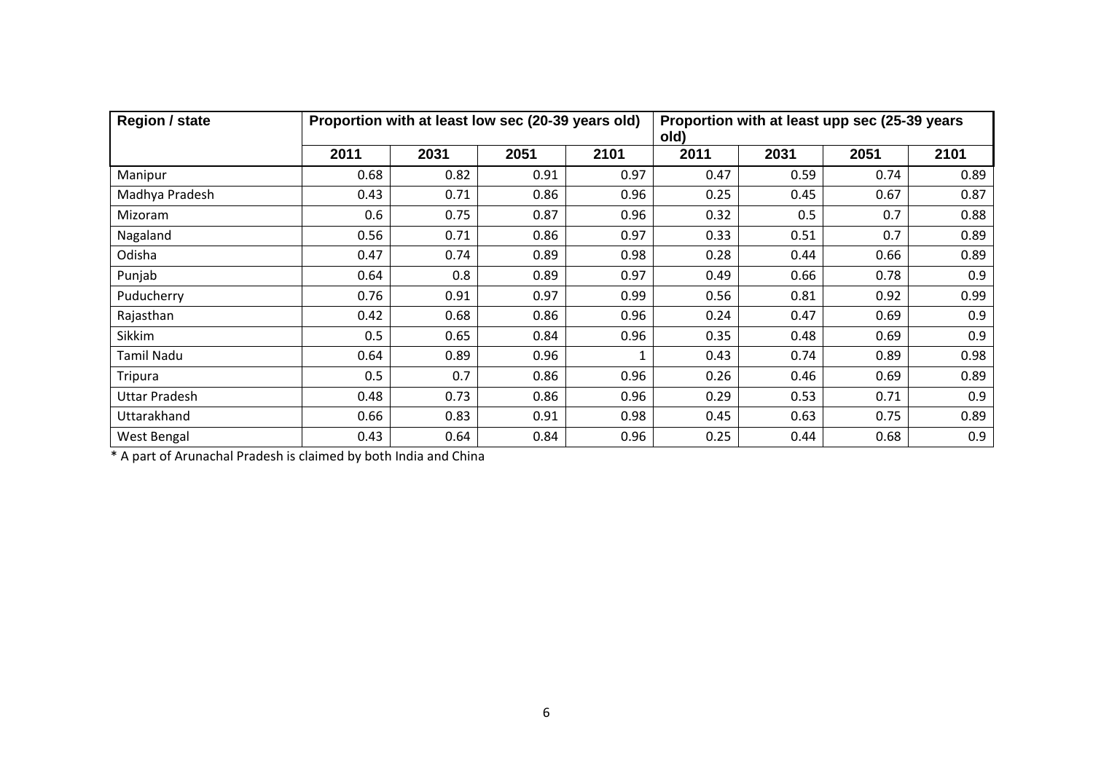| <b>Region / state</b> | Proportion with at least low sec (20-39 years old) |      |      |      | Proportion with at least upp sec (25-39 years<br>old) |      |      |      |  |
|-----------------------|----------------------------------------------------|------|------|------|-------------------------------------------------------|------|------|------|--|
|                       | 2011                                               | 2031 | 2051 | 2101 | 2011                                                  | 2031 | 2051 | 2101 |  |
| Manipur               | 0.68                                               | 0.82 | 0.91 | 0.97 | 0.47                                                  | 0.59 | 0.74 | 0.89 |  |
| Madhya Pradesh        | 0.43                                               | 0.71 | 0.86 | 0.96 | 0.25                                                  | 0.45 | 0.67 | 0.87 |  |
| Mizoram               | 0.6                                                | 0.75 | 0.87 | 0.96 | 0.32                                                  | 0.5  | 0.7  | 0.88 |  |
| Nagaland              | 0.56                                               | 0.71 | 0.86 | 0.97 | 0.33                                                  | 0.51 | 0.7  | 0.89 |  |
| Odisha                | 0.47                                               | 0.74 | 0.89 | 0.98 | 0.28                                                  | 0.44 | 0.66 | 0.89 |  |
| Punjab                | 0.64                                               | 0.8  | 0.89 | 0.97 | 0.49                                                  | 0.66 | 0.78 | 0.9  |  |
| Puducherry            | 0.76                                               | 0.91 | 0.97 | 0.99 | 0.56                                                  | 0.81 | 0.92 | 0.99 |  |
| Rajasthan             | 0.42                                               | 0.68 | 0.86 | 0.96 | 0.24                                                  | 0.47 | 0.69 | 0.9  |  |
| Sikkim                | 0.5                                                | 0.65 | 0.84 | 0.96 | 0.35                                                  | 0.48 | 0.69 | 0.9  |  |
| Tamil Nadu            | 0.64                                               | 0.89 | 0.96 | 1    | 0.43                                                  | 0.74 | 0.89 | 0.98 |  |
| Tripura               | 0.5                                                | 0.7  | 0.86 | 0.96 | 0.26                                                  | 0.46 | 0.69 | 0.89 |  |
| Uttar Pradesh         | 0.48                                               | 0.73 | 0.86 | 0.96 | 0.29                                                  | 0.53 | 0.71 | 0.9  |  |
| Uttarakhand           | 0.66                                               | 0.83 | 0.91 | 0.98 | 0.45                                                  | 0.63 | 0.75 | 0.89 |  |
| West Bengal           | 0.43                                               | 0.64 | 0.84 | 0.96 | 0.25                                                  | 0.44 | 0.68 | 0.9  |  |

\* A part of Arunachal Pradesh is claimed by both India and China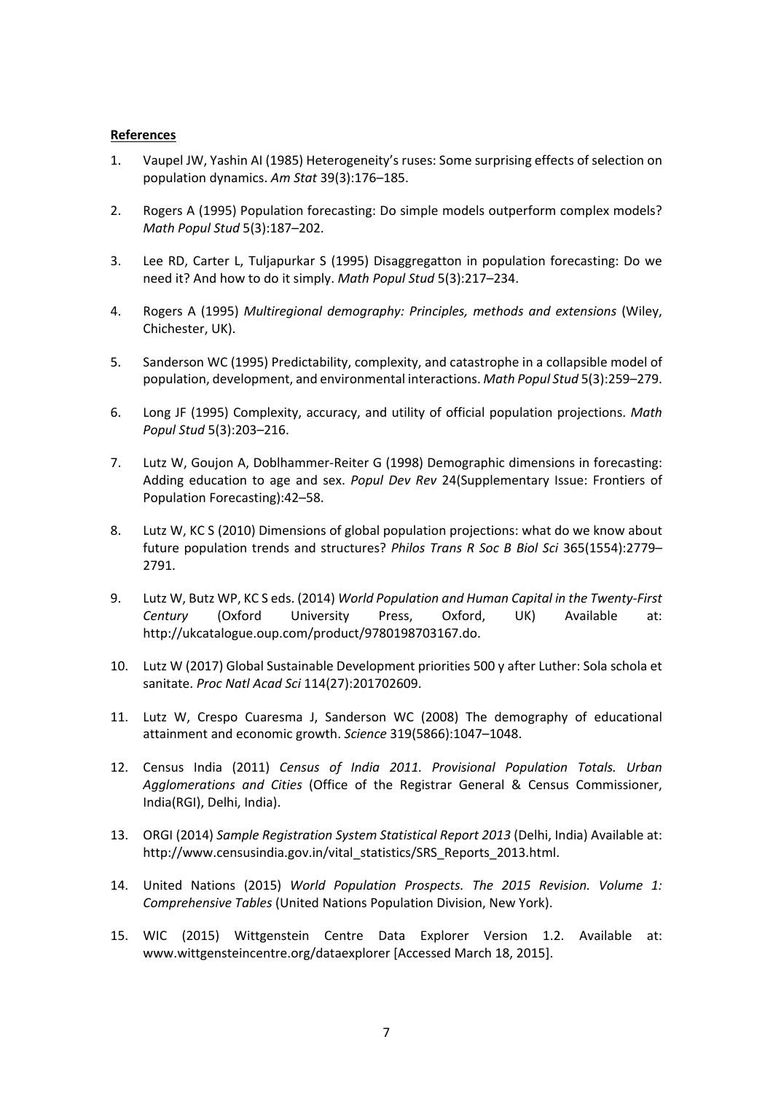#### **References**

- 1. Vaupel JW, Yashin AI (1985) Heterogeneity's ruses: Some surprising effects of selection on population dynamics. *Am Stat* 39(3):176–185.
- 2. Rogers A (1995) Population forecasting: Do simple models outperform complex models? *Math Popul Stud* 5(3):187–202.
- 3. Lee RD, Carter L, Tuljapurkar S (1995) Disaggregatton in population forecasting: Do we need it? And how to do it simply. *Math Popul Stud* 5(3):217–234.
- 4. Rogers A (1995) *Multiregional demography: Principles, methods and extensions* (Wiley, Chichester, UK).
- 5. Sanderson WC (1995) Predictability, complexity, and catastrophe in a collapsible model of population, development, and environmental interactions. *Math Popul Stud* 5(3):259–279.
- 6. Long JF (1995) Complexity, accuracy, and utility of official population projections. *Math Popul Stud* 5(3):203–216.
- 7. Lutz W, Goujon A, Doblhammer‐Reiter G (1998) Demographic dimensions in forecasting: Adding education to age and sex. *Popul Dev Rev* 24(Supplementary Issue: Frontiers of Population Forecasting):42–58.
- 8. Lutz W, KC S (2010) Dimensions of global population projections: what do we know about future population trends and structures? *Philos Trans R Soc B Biol Sci* 365(1554):2779– 2791.
- 9. Lutz W, Butz WP, KC S eds. (2014) *World Population and Human Capital in the Twenty‐First Century* (Oxford University Press, Oxford, UK) Available at: http://ukcatalogue.oup.com/product/9780198703167.do.
- 10. Lutz W (2017) Global Sustainable Development priorities 500 y after Luther: Sola schola et sanitate. *Proc Natl Acad Sci* 114(27):201702609.
- 11. Lutz W, Crespo Cuaresma J, Sanderson WC (2008) The demography of educational attainment and economic growth. *Science* 319(5866):1047–1048.
- 12. Census India (2011) *Census of India 2011. Provisional Population Totals. Urban Agglomerations and Cities* (Office of the Registrar General & Census Commissioner, India(RGI), Delhi, India).
- 13. ORGI (2014) *Sample Registration System Statistical Report 2013* (Delhi, India) Available at: http://www.censusindia.gov.in/vital\_statistics/SRS\_Reports\_2013.html.
- 14. United Nations (2015) *World Population Prospects. The 2015 Revision. Volume 1: Comprehensive Tables* (United Nations Population Division, New York).
- 15. WIC (2015) Wittgenstein Centre Data Explorer Version 1.2. Available at: www.wittgensteincentre.org/dataexplorer [Accessed March 18, 2015].